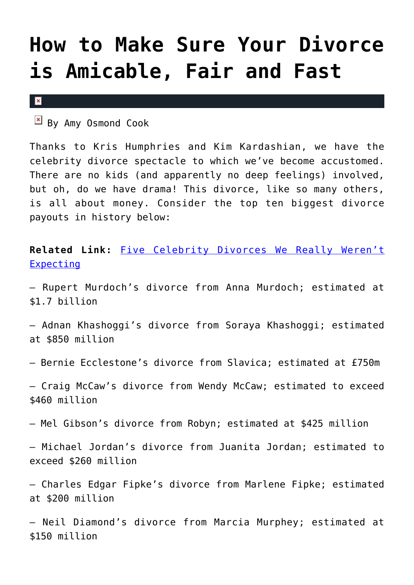# **[How to Make Sure Your Divorce](https://cupidspulse.com/36514/divorce-amicable-fair-fast-kris-humphries-kim-kardashian/) [is Amicable, Fair and Fast](https://cupidspulse.com/36514/divorce-amicable-fair-fast-kris-humphries-kim-kardashian/)**

 $\mathbf{x}$ 

By Amy Osmond Cook

Thanks to Kris Humphries and Kim Kardashian, we have the celebrity divorce spectacle to which we've become accustomed. There are no kids (and apparently no deep feelings) involved, but oh, do we have drama! This divorce, like so many others, is all about money. Consider the top ten biggest divorce payouts in history below:

**Related Link:** [Five Celebrity Divorces We Really Weren't](http://cupidspulse.com/five-celebrity-divorces-not-expecting/) [Expecting](http://cupidspulse.com/five-celebrity-divorces-not-expecting/)

– Rupert Murdoch's divorce from Anna Murdoch; estimated at \$1.7 billion

– Adnan Khashoggi's divorce from Soraya Khashoggi; estimated at \$850 million

– Bernie Ecclestone's divorce from Slavica; estimated at £750m

– Craig McCaw's divorce from Wendy McCaw; estimated to exceed \$460 million

– Mel Gibson's divorce from Robyn; estimated at \$425 million

– Michael Jordan's divorce from Juanita Jordan; estimated to exceed \$260 million

– Charles Edgar Fipke's divorce from Marlene Fipke; estimated at \$200 million

– Neil Diamond's divorce from Marcia Murphey; estimated at \$150 million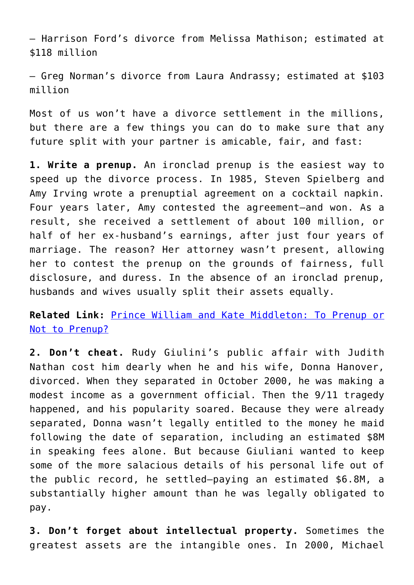– Harrison Ford's divorce from Melissa Mathison; estimated at \$118 million

– Greg Norman's divorce from Laura Andrassy; estimated at \$103 million

Most of us won't have a divorce settlement in the millions, but there are a few things you can do to make sure that any future split with your partner is amicable, fair, and fast:

**1. Write a prenup.** An ironclad prenup is the easiest way to speed up the divorce process. In 1985, Steven Spielberg and Amy Irving wrote a prenuptial agreement on a cocktail napkin. Four years later, Amy contested the agreement–and won. As a result, she received a settlement of about 100 million, or half of her ex-husband's earnings, after just four years of marriage. The reason? Her attorney wasn't present, allowing her to contest the prenup on the grounds of fairness, full disclosure, and duress. In the absence of an ironclad prenup, husbands and wives usually split their assets equally.

**Related Link:** [Prince William and Kate Middleton: To Prenup or](http://cupidspulse.com/prince-william-and-kate-middleton-to-prenup-or-not-to-prenup/) [Not to Prenup?](http://cupidspulse.com/prince-william-and-kate-middleton-to-prenup-or-not-to-prenup/)

**2. Don't cheat.** Rudy Giulini's public affair with Judith Nathan cost him dearly when he and his wife, Donna Hanover, divorced. When they separated in October 2000, he was making a modest income as a government official. Then the 9/11 tragedy happened, and his popularity soared. Because they were already separated, Donna wasn't legally entitled to the money he maid following the date of separation, including an estimated \$8M in speaking fees alone. But because Giuliani wanted to keep some of the more salacious details of his personal life out of the public record, he settled–paying an estimated \$6.8M, a substantially higher amount than he was legally obligated to pay.

**3. Don't forget about intellectual property.** Sometimes the greatest assets are the intangible ones. In 2000, Michael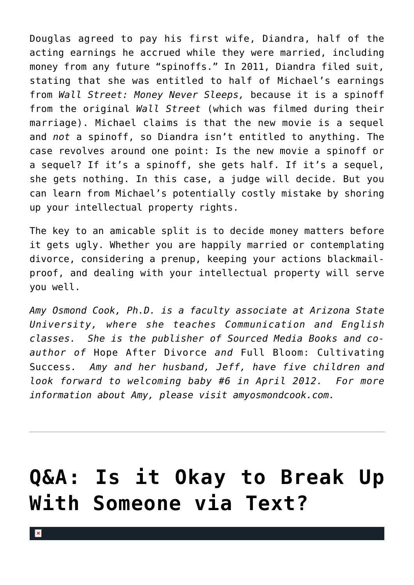Douglas agreed to pay his first wife, Diandra, half of the acting earnings he accrued while they were married, including money from any future "spinoffs." In 2011, Diandra filed suit, stating that she was entitled to half of Michael's earnings from *Wall Street: Money Never Sleeps,* because it is a spinoff from the original *Wall Street* (which was filmed during their marriage). Michael claims is that the new movie is a sequel and *not* a spinoff, so Diandra isn't entitled to anything. The case revolves around one point: Is the new movie a spinoff or a sequel? If it's a spinoff, she gets half. If it's a sequel, she gets nothing. In this case, a judge will decide. But you can learn from Michael's potentially costly mistake by shoring up your intellectual property rights.

The key to an amicable split is to decide money matters before it gets ugly. Whether you are happily married or contemplating divorce, considering a prenup, keeping your actions blackmailproof, and dealing with your intellectual property will serve you well.

*Amy Osmond Cook, Ph.D. is a faculty associate at Arizona State University, where she teaches Communication and English classes. She is the publisher of Sourced Media Books and coauthor of* Hope After Divorce *and* Full Bloom: Cultivating Success*. Amy and her husband, Jeff, have five children and look forward to welcoming baby #6 in April 2012. For more information about Amy, please visit amyosmondcook.com.*

# **[Q&A: Is it Okay to Break Up](https://cupidspulse.com/35752/qa-is-it-okay-to-dump-someone-via-text/) [With Someone via Text?](https://cupidspulse.com/35752/qa-is-it-okay-to-dump-someone-via-text/)**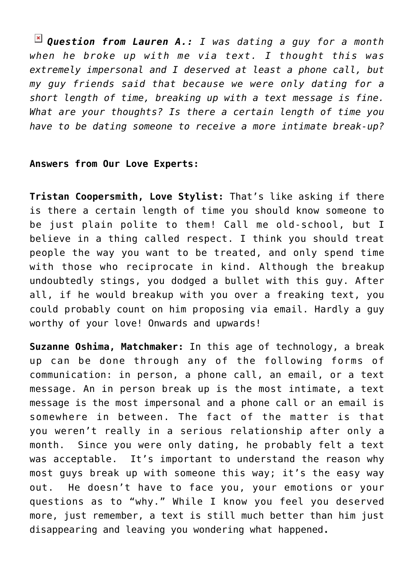*Question from Lauren A.: I was dating a guy for a month when he broke up with me via text. I thought this was extremely impersonal and I deserved at least a phone call, but my guy friends said that because we were only dating for a short length of time, breaking up with a text message is fine. What are your thoughts? Is there a certain length of time you have to be dating someone to receive a more intimate break-up?*

#### **Answers from Our Love Experts:**

**Tristan Coopersmith, Love Stylist:** That's like asking if there is there a certain length of time you should know someone to be just plain polite to them! Call me old-school, but I believe in a thing called respect. I think you should treat people the way you want to be treated, and only spend time with those who reciprocate in kind. Although the breakup undoubtedly stings, you dodged a bullet with this guy. After all, if he would breakup with you over a freaking text, you could probably count on him proposing via email. Hardly a guy worthy of your love! Onwards and upwards!

**Suzanne Oshima, Matchmaker:** In this age of technology, a break up can be done through any of the following forms of communication: in person, a phone call, an email, or a text message. An in person break up is the most intimate, a text message is the most impersonal and a phone call or an email is somewhere in between. The fact of the matter is that you weren't really in a serious relationship after only a month. Since you were only dating, he probably felt a text was acceptable. It's important to understand the reason why most guys break up with someone this way; it's the easy way out. He doesn't have to face you, your emotions or your questions as to "why." While I know you feel you deserved more, just remember, a text is still much better than him just disappearing and leaving you wondering what happened**.**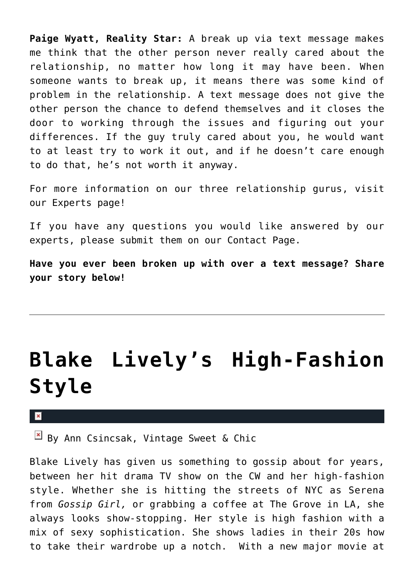**Paige Wyatt, Reality Star:** A break up via text message makes me think that the other person never really cared about the relationship, no matter how long it may have been. When someone wants to break up, it means there was some kind of problem in the relationship. A text message does not give the other person the chance to defend themselves and it closes the door to working through the issues and figuring out your differences. If the guy truly cared about you, he would want to at least try to work it out, and if he doesn't care enough to do that, he's not worth it anyway.

For more information on our three relationship gurus, visit our Experts page!

If you have any questions you would like answered by our experts, please submit them on our Contact Page.

**Have you ever been broken up with over a text message? Share your story below!**

# **[Blake Lively's High-Fashion](https://cupidspulse.com/35531/blake-livelys-high-fashion-style/) [Style](https://cupidspulse.com/35531/blake-livelys-high-fashion-style/)**

### $\pmb{\times}$

 $\boxed{\times}$  By Ann Csincsak, Vintage Sweet & Chic

Blake Lively has given us something to gossip about for years, between her hit drama TV show on the CW and her high-fashion style. Whether she is hitting the streets of NYC as Serena from *Gossip Girl,* or grabbing a coffee at The Grove in LA, she always looks show-stopping. Her style is high fashion with a mix of sexy sophistication. She shows ladies in their 20s how to take their wardrobe up a notch. With a new major movie at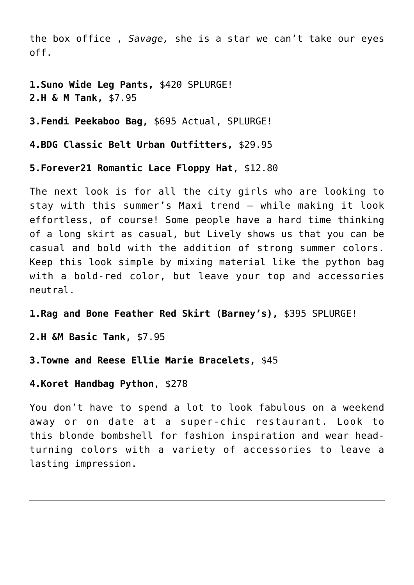the box office , *Savage,* she is a star we can't take our eyes off.

**1.Suno Wide Leg Pants,** \$420 SPLURGE! **2.H & M Tank,** \$7.95

**3.Fendi Peekaboo Bag,** \$695 Actual, SPLURGE!

**4.BDG Classic Belt Urban Outfitters,** \$29.95

**5.Forever21 Romantic Lace Floppy Hat**, \$12.80

The next look is for all the city girls who are looking to stay with this summer's Maxi trend — while making it look effortless, of course! Some people have a hard time thinking of a long skirt as casual, but Lively shows us that you can be casual and bold with the addition of strong summer colors. Keep this look simple by mixing material like the python bag with a bold-red color, but leave your top and accessories neutral.

**1.Rag and Bone Feather Red Skirt (Barney's),** \$395 SPLURGE!

**2.H &M Basic Tank,** \$7.95

**3.Towne and Reese Ellie Marie Bracelets,** \$45

**4.Koret Handbag Python**, \$278

You don't have to spend a lot to look fabulous on a weekend away or on date at a super-chic restaurant. Look to this blonde bombshell for fashion inspiration and wear headturning colors with a variety of accessories to leave a lasting impression.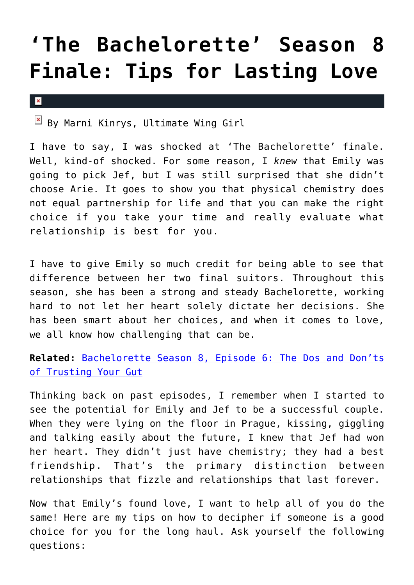# **['The Bachelorette' Season 8](https://cupidspulse.com/35327/bachelorette-season-8-finale-tips-for-lasting-love-emily-maynard/) [Finale: Tips for Lasting Love](https://cupidspulse.com/35327/bachelorette-season-8-finale-tips-for-lasting-love-emily-maynard/)**

#### $\pmb{\times}$

 $\mathbb{E}$  By Marni Kinrys, Ultimate Wing Girl

I have to say, I was shocked at 'The Bachelorette' finale. Well, kind-of shocked. For some reason, I *knew* that Emily was going to pick Jef, but I was still surprised that she didn't choose Arie. It goes to show you that physical chemistry does not equal partnership for life and that you can make the right choice if you take your time and really evaluate what relationship is best for you.

I have to give Emily so much credit for being able to see that difference between her two final suitors. Throughout this season, she has been a strong and steady Bachelorette, working hard to not let her heart solely dictate her decisions. She has been smart about her choices, and when it comes to love, we all know how challenging that can be.

**Related:** [Bachelorette Season 8, Episode 6: The Dos and Don'ts](http://cupidspulse.com/emily-maynard-bachelorette-episode-5-trust-your-gut/) [of Trusting Your Gut](http://cupidspulse.com/emily-maynard-bachelorette-episode-5-trust-your-gut/)

Thinking back on past episodes, I remember when I started to see the potential for Emily and Jef to be a successful couple. When they were lying on the floor in Prague, kissing, giggling and talking easily about the future, I knew that Jef had won her heart. They didn't just have chemistry; they had a best friendship. That's the primary distinction between relationships that fizzle and relationships that last forever.

Now that Emily's found love, I want to help all of you do the same! Here are my tips on how to decipher if someone is a good choice for you for the long haul. Ask yourself the following questions: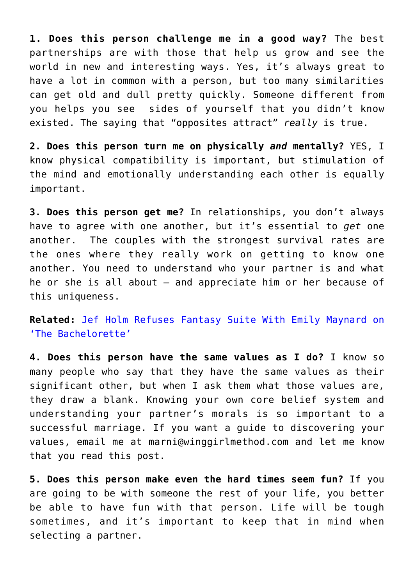**1. Does this person challenge me in a good way?** The best partnerships are with those that help us grow and see the world in new and interesting ways. Yes, it's always great to have a lot in common with a person, but too many similarities can get old and dull pretty quickly. Someone different from you helps you see sides of yourself that you didn't know existed. The saying that "opposites attract" *really* is true.

**2. Does this person turn me on physically** *and* **mentally?** YES, I know physical compatibility is important, but stimulation of the mind and emotionally understanding each other is equally important.

**3. Does this person get me?** In relationships, you don't always have to agree with one another, but it's essential to *get* one another. The couples with the strongest survival rates are the ones where they really work on getting to know one another. You need to understand who your partner is and what he or she is all about – and appreciate him or her because of this uniqueness.

**Related:** [Jef Holm Refuses Fantasy Suite With Emily Maynard on](http://cupidspulse.com/jef-holm-refuses-fantasy-suite-emily-maynard-bachelorette/) ['The Bachelorette'](http://cupidspulse.com/jef-holm-refuses-fantasy-suite-emily-maynard-bachelorette/)

**4. Does this person have the same values as I do?** I know so many people who say that they have the same values as their significant other, but when I ask them what those values are, they draw a blank. Knowing your own core belief system and understanding your partner's morals is so important to a successful marriage. If you want a guide to discovering your values, email me at marni@winggirlmethod.com and let me know that you read this post.

**5. Does this person make even the hard times seem fun?** If you are going to be with someone the rest of your life, you better be able to have fun with that person. Life will be tough sometimes, and it's important to keep that in mind when selecting a partner.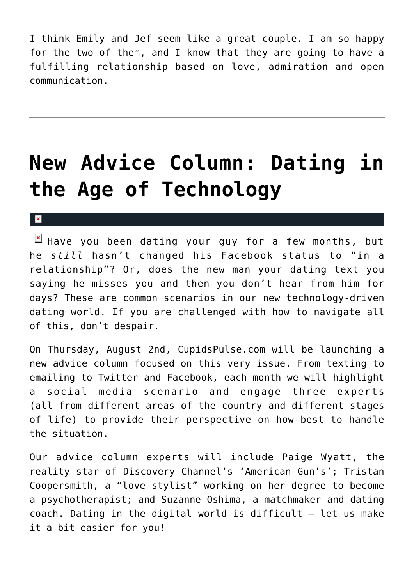I think Emily and Jef seem like a great couple. I am so happy for the two of them, and I know that they are going to have a fulfilling relationship based on love, admiration and open communication.

# **[New Advice Column: Dating in](https://cupidspulse.com/34994/new-advice-column-dating-age-technology/) [the Age of Technology](https://cupidspulse.com/34994/new-advice-column-dating-age-technology/)**

 $\mathbf{R}$ 

 $\mathbb{E}$  Have you been dating your guy for a few months, but he *still* hasn't changed his Facebook status to "in a relationship"? Or, does the new man your dating text you saying he misses you and then you don't hear from him for days? These are common scenarios in our new technology-driven dating world. If you are challenged with how to navigate all of this, don't despair.

On Thursday, August 2nd, CupidsPulse.com will be launching a new advice column focused on this very issue. From texting to emailing to Twitter and Facebook, each month we will highlight a social media scenario and engage three experts (all from different areas of the country and different stages of life) to provide their perspective on how best to handle the situation.

Our advice column experts will include Paige Wyatt, the reality star of Discovery Channel's 'American Gun's'; Tristan Coopersmith, a "love stylist" working on her degree to become a psychotherapist; and Suzanne Oshima, a matchmaker and dating coach. Dating in the digital world is difficult – let us make it a bit easier for you!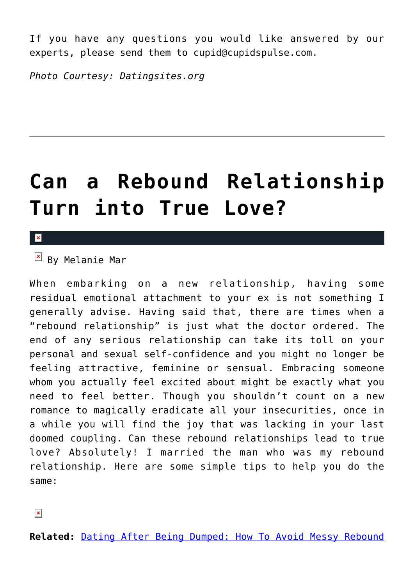If you have any questions you would like answered by our experts, please send them to cupid@cupidspulse.com.

*Photo Courtesy: Datingsites.org*

# **[Can a Rebound Relationship](https://cupidspulse.com/34316/rebound-relationship-true-love-melanie-mar/) [Turn into True Love?](https://cupidspulse.com/34316/rebound-relationship-true-love-melanie-mar/)**

#### $\pmb{\times}$

 $\overline{B}$  By Melanie Mar

When embarking on a new relationship, having some residual emotional attachment to your ex is not something I generally advise. Having said that, there are times when a "rebound relationship" is just what the doctor ordered. The end of any serious relationship can take its toll on your personal and sexual self-confidence and you might no longer be feeling attractive, feminine or sensual. Embracing someone whom you actually feel excited about might be exactly what you need to feel better. Though you shouldn't count on a new romance to magically eradicate all your insecurities, once in a while you will find the joy that was lacking in your last doomed coupling. Can these rebound relationships lead to true love? Absolutely! I married the man who was my rebound relationship. Here are some simple tips to help you do the same:

**Related:** [Dating After Being Dumped: How To Avoid Messy Rebound](http://cupidspulse.com/dating-after-being-dumped-avoid-messy-rebound-relationships/)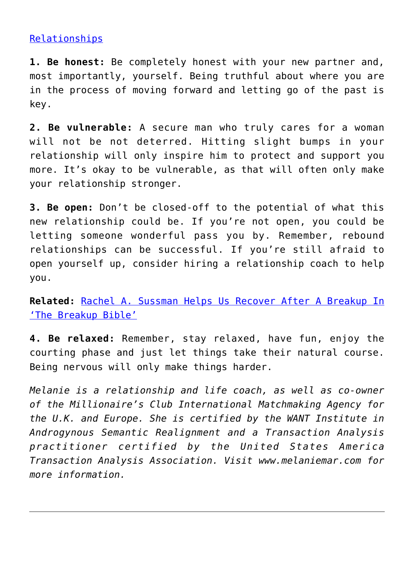### [Relationships](http://cupidspulse.com/dating-after-being-dumped-avoid-messy-rebound-relationships/)

**1. Be honest:** Be completely honest with your new partner and, most importantly, yourself. Being truthful about where you are in the process of moving forward and letting go of the past is key.

**2. Be vulnerable:** A secure man who truly cares for a woman will not be not deterred. Hitting slight bumps in your relationship will only inspire him to protect and support you more. It's okay to be vulnerable, as that will often only make your relationship stronger.

**3. Be open:** Don't be closed-off to the potential of what this new relationship could be. If you're not open, you could be letting someone wonderful pass you by. Remember, rebound relationships can be successful. If you're still afraid to open yourself up, consider hiring a relationship coach to help you.

**Related:** [Rachel A. Sussman Helps Us Recover After A Breakup In](http://cupidspulse.com/rachel-a-sussman-helps-us-recover-after-breakup-divorce-the-breakup-bible-relationships-exes/) ['The Breakup Bible'](http://cupidspulse.com/rachel-a-sussman-helps-us-recover-after-breakup-divorce-the-breakup-bible-relationships-exes/)

**4. Be relaxed:** Remember, stay relaxed, have fun, enjoy the courting phase and just let things take their natural course. Being nervous will only make things harder.

*Melanie is a relationship and life coach, as well as co-owner of the Millionaire's Club International Matchmaking Agency for the U.K. and Europe. She is certified by the WANT Institute in Androgynous Semantic Realignment and a Transaction Analysis practitioner certified by the United States America Transaction Analysis Association. Visit www.melaniemar.com for more information.*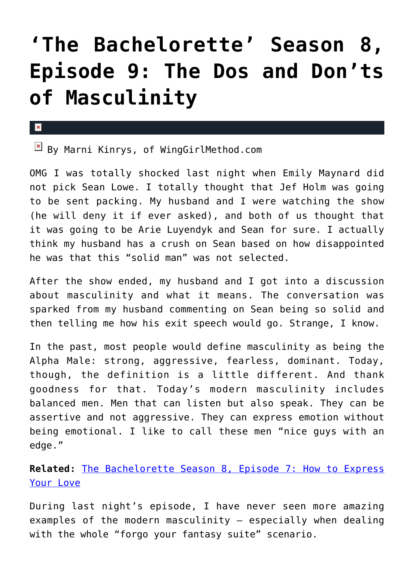# **['The Bachelorette' Season 8,](https://cupidspulse.com/34693/marni-kinrys-bachelorette-masculinity-emily-maynard/) [Episode 9: The Dos and Don'ts](https://cupidspulse.com/34693/marni-kinrys-bachelorette-masculinity-emily-maynard/) [of Masculinity](https://cupidspulse.com/34693/marni-kinrys-bachelorette-masculinity-emily-maynard/)**

 $\mathbf x$ 

 $\boxed{\times}$  By Marni Kinrys, of WingGirlMethod.com

OMG I was totally shocked last night when Emily Maynard did not pick Sean Lowe. I totally thought that Jef Holm was going to be sent packing. My husband and I were watching the show (he will deny it if ever asked), and both of us thought that it was going to be Arie Luyendyk and Sean for sure. I actually think my husband has a crush on Sean based on how disappointed he was that this "solid man" was not selected.

After the show ended, my husband and I got into a discussion about masculinity and what it means. The conversation was sparked from my husband commenting on Sean being so solid and then telling me how his exit speech would go. Strange, I know.

In the past, most people would define masculinity as being the Alpha Male: strong, aggressive, fearless, dominant. Today, though, the definition is a little different. And thank goodness for that. Today's modern masculinity includes balanced men. Men that can listen but also speak. They can be assertive and not aggressive. They can express emotion without being emotional. I like to call these men "nice guys with an edge."

**Related:** [The Bachelorette Season 8, Episode 7: How to Express](http://cupidspulse.com/bachelorette-8-episode-7-express-lov/) [Your Love](http://cupidspulse.com/bachelorette-8-episode-7-express-lov/)

During last night's episode, I have never seen more amazing examples of the modern masculinity – especially when dealing with the whole "forgo your fantasy suite" scenario.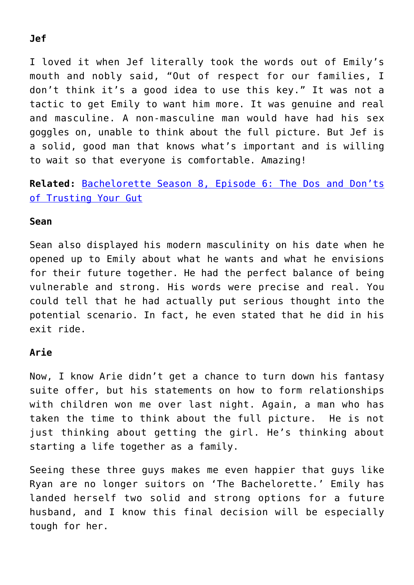### I loved it when Jef literally took the words out of Emily's mouth and nobly said, "Out of respect for our families, I don't think it's a good idea to use this key." It was not a

tactic to get Emily to want him more. It was genuine and real and masculine. A non-masculine man would have had his sex goggles on, unable to think about the full picture. But Jef is a solid, good man that knows what's important and is willing to wait so that everyone is comfortable. Amazing!

### **Related:** [Bachelorette Season 8, Episode 6: The Dos and Don'ts](http://cupidspulse.com/emily-maynard-bachelorette-episode-5-trust-your-gut/) [of Trusting Your Gut](http://cupidspulse.com/emily-maynard-bachelorette-episode-5-trust-your-gut/)

### **Sean**

Sean also displayed his modern masculinity on his date when he opened up to Emily about what he wants and what he envisions for their future together. He had the perfect balance of being vulnerable and strong. His words were precise and real. You could tell that he had actually put serious thought into the potential scenario. In fact, he even stated that he did in his exit ride.

### **Arie**

Now, I know Arie didn't get a chance to turn down his fantasy suite offer, but his statements on how to form relationships with children won me over last night. Again, a man who has taken the time to think about the full picture. He is not just thinking about getting the girl. He's thinking about starting a life together as a family.

Seeing these three guys makes me even happier that guys like Ryan are no longer suitors on 'The Bachelorette.' Emily has landed herself two solid and strong options for a future husband, and I know this final decision will be especially tough for her.

### **Jef**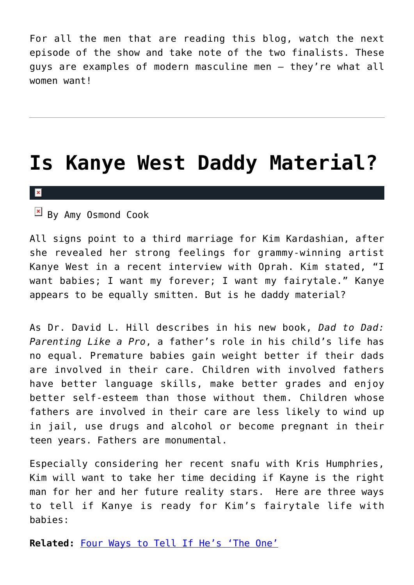For all the men that are reading this blog, watch the next episode of the show and take note of the two finalists. These guys are examples of modern masculine men – they're what all women want!

### **[Is Kanye West Daddy Material?](https://cupidspulse.com/34109/kanye-west-daddy-material-kim-kardashian/)**

#### $\pmb{\times}$

 $\mathbb{F}$  By Amy Osmond Cook

All signs point to a third marriage for Kim Kardashian, after she revealed her strong feelings for grammy-winning artist Kanye West in a recent interview with Oprah. Kim stated, "I want babies; I want my forever; I want my fairytale." Kanye appears to be equally smitten. But is he daddy material?

As Dr. David L. Hill describes in his new book, *Dad to Dad: Parenting Like a Pro*, a father's role in his child's life has no equal. Premature babies gain weight better if their dads are involved in their care. Children with involved fathers have better language skills, make better grades and enjoy better self-esteem than those without them. Children whose fathers are involved in their care are less likely to wind up in jail, use drugs and alcohol or become pregnant in their teen years. Fathers are monumental.

Especially considering her recent snafu with Kris Humphries, Kim will want to take her time deciding if Kayne is the right man for her and her future reality stars. Here are three ways to tell if Kanye is ready for Kim's fairytale life with babies:

**Related:** [Four Ways to Tell If He's 'The One'](http://cupidspulse.com/four-ways-tell-hes-the-one/)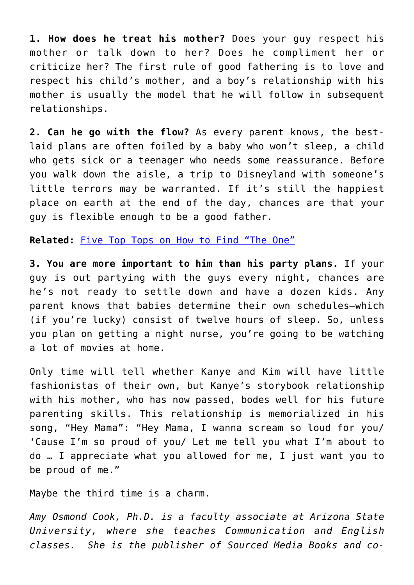**1. How does he treat his mother?** Does your guy respect his mother or talk down to her? Does he compliment her or criticize her? The first rule of good fathering is to love and respect his child's mother, and a boy's relationship with his mother is usually the model that he will follow in subsequent relationships.

**2. Can he go with the flow?** As every parent knows, the bestlaid plans are often foiled by a baby who won't sleep, a child who gets sick or a teenager who needs some reassurance. Before you walk down the aisle, a trip to Disneyland with someone's little terrors may be warranted. If it's still the happiest place on earth at the end of the day, chances are that your guy is flexible enough to be a good father.

**Related:** [Five Top Tops on How to Find "The One"](http://cupidspulse.com/five-tips-find-the-one-soulmate-love/)

**3. You are more important to him than his party plans.** If your guy is out partying with the guys every night, chances are he's not ready to settle down and have a dozen kids. Any parent knows that babies determine their own schedules–which (if you're lucky) consist of twelve hours of sleep. So, unless you plan on getting a night nurse, you're going to be watching a lot of movies at home.

Only time will tell whether Kanye and Kim will have little fashionistas of their own, but Kanye's storybook relationship with his mother, who has now passed, bodes well for his future parenting skills. This relationship is memorialized in his song, "Hey Mama": "Hey Mama, I wanna scream so loud for you/ 'Cause I'm so proud of you/ Let me tell you what I'm about to do … I appreciate what you allowed for me, I just want you to be proud of me."

Maybe the third time is a charm.

*Amy Osmond Cook, Ph.D. is a faculty associate at Arizona State University, where she teaches Communication and English classes. She is the publisher of Sourced Media Books and co-*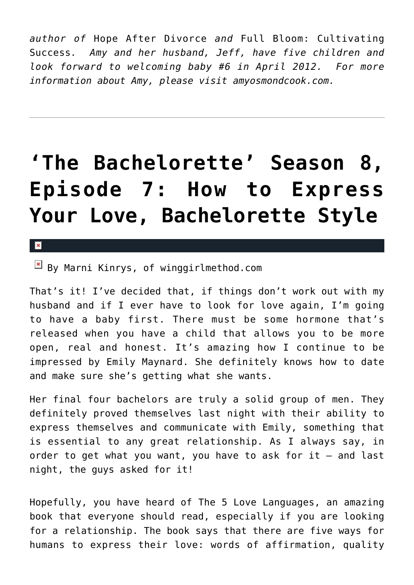*author of* Hope After Divorce *and* Full Bloom: Cultivating Success*. Amy and her husband, Jeff, have five children and look forward to welcoming baby #6 in April 2012. For more information about Amy, please visit amyosmondcook.com.*

# **['The Bachelorette' Season 8,](https://cupidspulse.com/33950/bachelorette-8-episode-7-express-lov/) [Episode 7: How to Express](https://cupidspulse.com/33950/bachelorette-8-episode-7-express-lov/) [Your Love, Bachelorette Style](https://cupidspulse.com/33950/bachelorette-8-episode-7-express-lov/)**

 $\mathbf{x}$ 

 $\boxed{\times}$  By Marni Kinrys, of winggirlmethod.com

That's it! I've decided that, if things don't work out with my husband and if I ever have to look for love again, I'm going to have a baby first. There must be some hormone that's released when you have a child that allows you to be more open, real and honest. It's amazing how I continue to be impressed by Emily Maynard. She definitely knows how to date and make sure she's getting what she wants.

Her final four bachelors are truly a solid group of men. They definitely proved themselves last night with their ability to express themselves and communicate with Emily, something that is essential to any great relationship. As I always say, in order to get what you want, you have to ask for it – and last night, the guys asked for it!

Hopefully, you have heard of The 5 Love Languages, an amazing book that everyone should read, especially if you are looking for a relationship. The book says that there are five ways for humans to express their love: words of affirmation, quality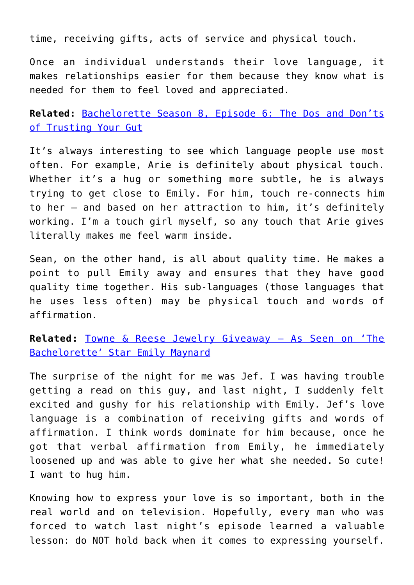time, receiving gifts, acts of service and physical touch.

Once an individual understands their love language, it makes relationships easier for them because they know what is needed for them to feel loved and appreciated.

**Related:** [Bachelorette Season 8, Episode 6: The Dos and Don'ts](http://cupidspulse.com/emily-maynard-bachelorette-episode-5-trust-your-gut/) [of Trusting Your Gut](http://cupidspulse.com/emily-maynard-bachelorette-episode-5-trust-your-gut/)

It's always interesting to see which language people use most often. For example, Arie is definitely about physical touch. Whether it's a hug or something more subtle, he is always trying to get close to Emily. For him, touch re-connects him to her – and based on her attraction to him, it's definitely working. I'm a touch girl myself, so any touch that Arie gives literally makes me feel warm inside.

Sean, on the other hand, is all about quality time. He makes a point to pull Emily away and ensures that they have good quality time together. His sub-languages (those languages that he uses less often) may be physical touch and words of affirmation.

**Related:** [Towne & Reese Jewelry Giveaway – As Seen on 'The](http://cupidspulse.com/towne-reese-jewelry-giveaway-the-bachelorette-emily-maynard/) [Bachelorette' Star Emily Maynard](http://cupidspulse.com/towne-reese-jewelry-giveaway-the-bachelorette-emily-maynard/)

The surprise of the night for me was Jef. I was having trouble getting a read on this guy, and last night, I suddenly felt excited and gushy for his relationship with Emily. Jef's love language is a combination of receiving gifts and words of affirmation. I think words dominate for him because, once he got that verbal affirmation from Emily, he immediately loosened up and was able to give her what she needed. So cute! I want to hug him.

Knowing how to express your love is so important, both in the real world and on television. Hopefully, every man who was forced to watch last night's episode learned a valuable lesson: do NOT hold back when it comes to expressing yourself.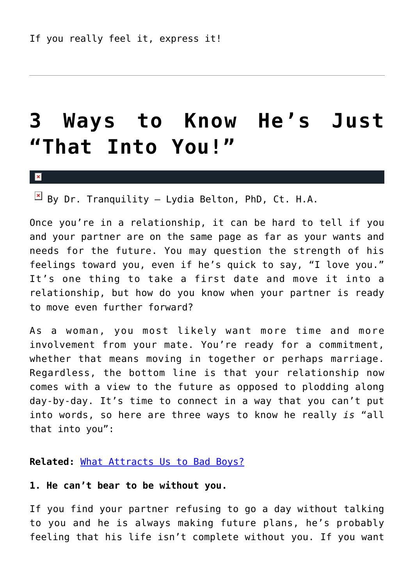# **[3 Ways to Know He's Just](https://cupidspulse.com/33647/3-ways-to-know-hes-into-you/) ["That Into You!"](https://cupidspulse.com/33647/3-ways-to-know-hes-into-you/)**

#### $\mathbf x$

 $\boxed{\times}$  By Dr. Tranquility – Lydia Belton, PhD, Ct. H.A.

Once you're in a relationship, it can be hard to tell if you and your partner are on the same page as far as your wants and needs for the future. You may question the strength of his feelings toward you, even if he's quick to say, "I love you." It's one thing to take a first date and move it into a relationship, but how do you know when your partner is ready to move even further forward?

As a woman, you most likely want more time and more involvement from your mate. You're ready for a commitment, whether that means moving in together or perhaps marriage. Regardless, the bottom line is that your relationship now comes with a view to the future as opposed to plodding along day-by-day. It's time to connect in a way that you can't put into words, so here are three ways to know he really *is* "all that into you":

#### **Related:** [What Attracts Us to Bad Boys?](http://cupidspulse.com/what-attracts-us-to-bad-boys-chris-brown-brad-pitt/)

### **1. He can't bear to be without you.**

If you find your partner refusing to go a day without talking to you and he is always making future plans, he's probably feeling that his life isn't complete without you. If you want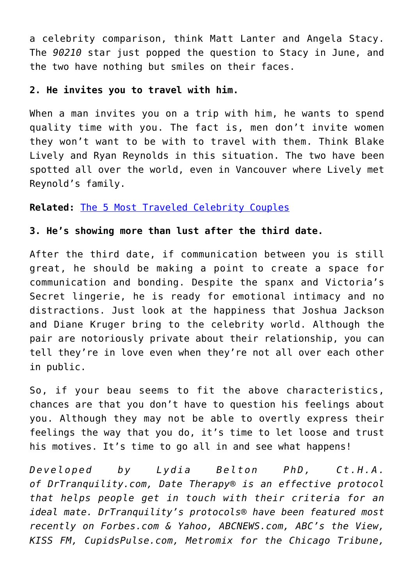a celebrity comparison, think Matt Lanter and Angela Stacy. The *90210* star just popped the question to Stacy in June, and the two have nothing but smiles on their faces.

### **2. He invites you to travel with him.**

When a man invites you on a trip with him, he wants to spend quality time with you. The fact is, men don't invite women they won't want to be with to travel with them. Think Blake Lively and Ryan Reynolds in this situation. The two have been spotted all over the world, even in Vancouver where Lively met Reynold's family.

### **Related:** [The 5 Most Traveled Celebrity Couples](http://cupidspulse.com/top-five-most-traveled-celebrity-couples-ethan-zohn-miranda-kerr-orlando-bloom-jay-z-beyonce-prince-william-kate-middleton-eva-longoria-eduardo-cruz/)

### **3. He's showing more than lust after the third date.**

After the third date, if communication between you is still great, he should be making a point to create a space for communication and bonding. Despite the spanx and Victoria's Secret lingerie, he is ready for emotional intimacy and no distractions. Just look at the happiness that Joshua Jackson and Diane Kruger bring to the celebrity world. Although the pair are notoriously private about their relationship, you can tell they're in love even when they're not all over each other in public.

So, if your beau seems to fit the above characteristics, chances are that you don't have to question his feelings about you. Although they may not be able to overtly express their feelings the way that you do, it's time to let loose and trust his motives. It's time to go all in and see what happens!

*Developed by Lydia Belton PhD, Ct.H.A. of DrTranquility.com, Date Therapy® is an effective protocol that helps people get in touch with their criteria for an ideal mate. DrTranquility's protocols® have been featured most recently on Forbes.com & Yahoo, ABCNEWS.com, ABC's the View, KISS FM, CupidsPulse.com, Metromix for the Chicago Tribune,*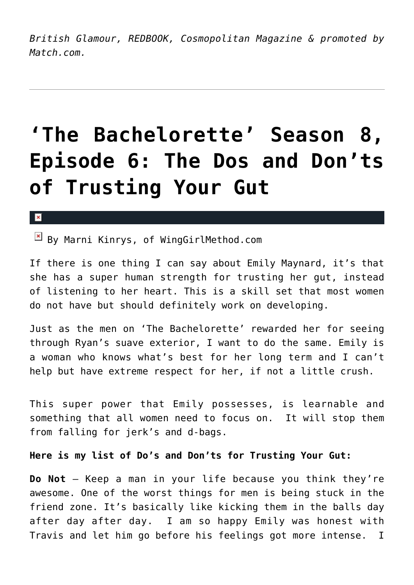*British Glamour, REDBOOK, Cosmopolitan Magazine & promoted by Match.com.*

# **['The Bachelorette' Season 8,](https://cupidspulse.com/33499/emily-maynard-bachelorette-episode-5-trust-your-gut/) [Episode 6: The Dos and Don'ts](https://cupidspulse.com/33499/emily-maynard-bachelorette-episode-5-trust-your-gut/) [of Trusting Your Gut](https://cupidspulse.com/33499/emily-maynard-bachelorette-episode-5-trust-your-gut/)**

#### $\mathbf{x}$

 $\boxed{\times}$  By Marni Kinrys, of WingGirlMethod.com

If there is one thing I can say about Emily Maynard, it's that she has a super human strength for trusting her gut, instead of listening to her heart. This is a skill set that most women do not have but should definitely work on developing.

Just as the men on 'The Bachelorette' rewarded her for seeing through Ryan's suave exterior, I want to do the same. Emily is a woman who knows what's best for her long term and I can't help but have extreme respect for her, if not a little crush.

This super power that Emily possesses, is learnable and something that all women need to focus on. It will stop them from falling for jerk's and d-bags.

**Here is my list of Do's and Don'ts for Trusting Your Gut:**

**Do Not** — Keep a man in your life because you think they're awesome. One of the worst things for men is being stuck in the friend zone. It's basically like kicking them in the balls day after day after day. I am so happy Emily was honest with Travis and let him go before his feelings got more intense. I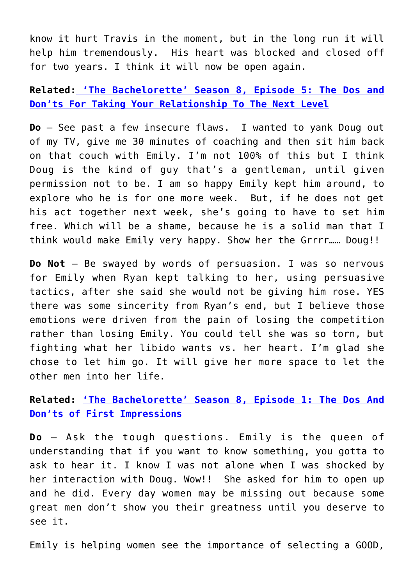know it hurt Travis in the moment, but in the long run it will help him tremendously. His heart was blocked and closed off for two years. I think it will now be open again.

**Related: ['The Bachelorette' Season 8, Episode 5: The Dos and](http://cupidspulse.com/bachelorette-8-emily-maynard-connection-relationships/) [Don'ts For Taking Your Relationship To The Next Level](http://cupidspulse.com/bachelorette-8-emily-maynard-connection-relationships/)**

**Do** — See past a few insecure flaws. I wanted to yank Doug out of my TV, give me 30 minutes of coaching and then sit him back on that couch with Emily. I'm not 100% of this but I think Doug is the kind of guy that's a gentleman, until given permission not to be. I am so happy Emily kept him around, to explore who he is for one more week. But, if he does not get his act together next week, she's going to have to set him free. Which will be a shame, because he is a solid man that I think would make Emily very happy. Show her the Grrrr…… Doug!!

**Do Not** — Be swayed by words of persuasion. I was so nervous for Emily when Ryan kept talking to her, using persuasive tactics, after she said she would not be giving him rose. YES there was some sincerity from Ryan's end, but I believe those emotions were driven from the pain of losing the competition rather than losing Emily. You could tell she was so torn, but fighting what her libido wants vs. her heart. I'm glad she chose to let him go. It will give her more space to let the other men into her life.

**Related: ['The Bachelorette' Season 8, Episode 1: The Dos And](http://cupidspulse.com/the-bachelorette-8-episode-1-recap-the-dos-and-donts-of-first-impressions/) [Don'ts of First Impressions](http://cupidspulse.com/the-bachelorette-8-episode-1-recap-the-dos-and-donts-of-first-impressions/)**

**Do** — Ask the tough questions. Emily is the queen of understanding that if you want to know something, you gotta to ask to hear it. I know I was not alone when I was shocked by her interaction with Doug. Wow!! She asked for him to open up and he did. Every day women may be missing out because some great men don't show you their greatness until you deserve to see it.

Emily is helping women see the importance of selecting a GOOD,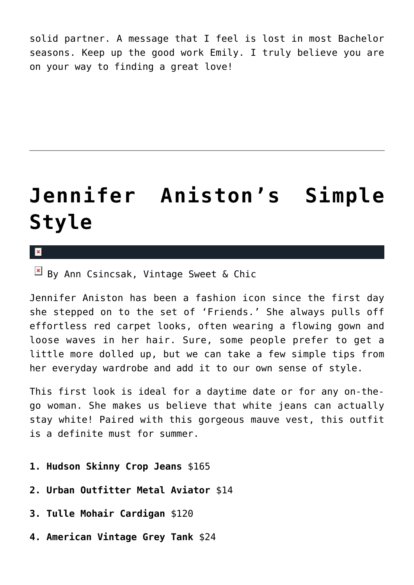solid partner. A message that I feel is lost in most Bachelor seasons. Keep up the good work Emily. I truly believe you are on your way to finding a great love!

# **[Jennifer Aniston's Simple](https://cupidspulse.com/33224/jennifer-anistons-simple-style-get-the-look-ann-csincsak/) [Style](https://cupidspulse.com/33224/jennifer-anistons-simple-style-get-the-look-ann-csincsak/)**

×

 $\boxed{\times}$  By Ann Csincsak, Vintage Sweet & Chic

Jennifer Aniston has been a fashion icon since the first day she stepped on to the set of 'Friends.' She always pulls off effortless red carpet looks, often wearing a flowing gown and loose waves in her hair. Sure, some people prefer to get a little more dolled up, but we can take a few simple tips from her everyday wardrobe and add it to our own sense of style.

This first look is ideal for a daytime date or for any on-thego woman. She makes us believe that white jeans can actually stay white! Paired with this gorgeous mauve vest, this outfit is a definite must for summer.

- **1. Hudson Skinny Crop Jeans** \$165
- **2. Urban Outfitter Metal Aviator** \$14
- **3. Tulle Mohair Cardigan** \$120
- **4. American Vintage Grey Tank** \$24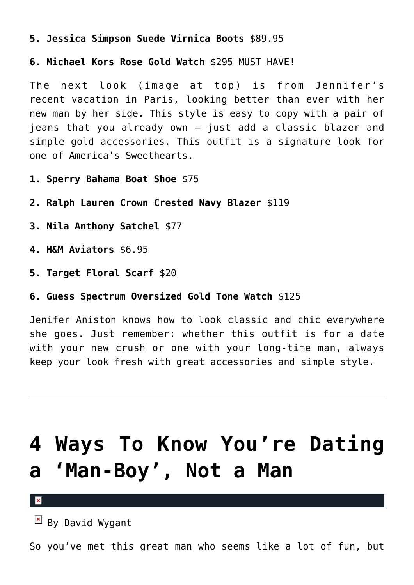**5. Jessica Simpson Suede Virnica Boots** \$89.95

**6. Michael Kors Rose Gold Watch** \$295 MUST HAVE!

The next look (image at top) is from Jennifer's recent vacation in Paris, looking better than ever with her new man by her side. This style is easy to copy with a pair of jeans that you already own – just add a classic blazer and simple gold accessories. This outfit is a signature look for one of America's Sweethearts.

- **1. Sperry Bahama Boat Shoe** \$75
- **2. Ralph Lauren Crown Crested Navy Blazer** \$119
- **3. Nila Anthony Satchel** \$77
- **4. H&M Aviators** \$6.95
- **5. Target Floral Scarf** \$20
- **6. Guess Spectrum Oversized Gold Tone Watch** \$125

Jenifer Aniston knows how to look classic and chic everywhere she goes. Just remember: whether this outfit is for a date with your new crush or one with your long-time man, always keep your look fresh with great accessories and simple style.

# **[4 Ways To Know You're Dating](https://cupidspulse.com/32924/dating-man-boy-not-man-david-wygant/) [a 'Man-Boy', Not a Man](https://cupidspulse.com/32924/dating-man-boy-not-man-david-wygant/)**

 $\pmb{\times}$ 

 $\mathbb{E}$  By David Wygant

So you've met this great man who seems like a lot of fun, but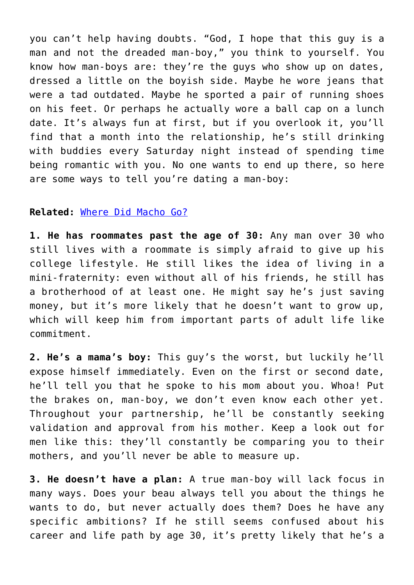you can't help having doubts. "God, I hope that this guy is a man and not the dreaded man-boy," you think to yourself. You know how man-boys are: they're the guys who show up on dates, dressed a little on the boyish side. Maybe he wore jeans that were a tad outdated. Maybe he sported a pair of running shoes on his feet. Or perhaps he actually wore a ball cap on a lunch date. It's always fun at first, but if you overlook it, you'll find that a month into the relationship, he's still drinking with buddies every Saturday night instead of spending time being romantic with you. No one wants to end up there, so here are some ways to tell you're dating a man-boy:

#### **Related:** [Where Did Macho Go?](http://cupidspulse.com/where-did-macho-go-tips-to-let-man-be-man/)

**1. He has roommates past the age of 30:** Any man over 30 who still lives with a roommate is simply afraid to give up his college lifestyle. He still likes the idea of living in a mini-fraternity: even without all of his friends, he still has a brotherhood of at least one. He might say he's just saving money, but it's more likely that he doesn't want to grow up, which will keep him from important parts of adult life like commitment.

**2. He's a mama's boy:** This guy's the worst, but luckily he'll expose himself immediately. Even on the first or second date, he'll tell you that he spoke to his mom about you. Whoa! Put the brakes on, man-boy, we don't even know each other yet. Throughout your partnership, he'll be constantly seeking validation and approval from his mother. Keep a look out for men like this: they'll constantly be comparing you to their mothers, and you'll never be able to measure up.

**3. He doesn't have a plan:** A true man-boy will lack focus in many ways. Does your beau always tell you about the things he wants to do, but never actually does them? Does he have any specific ambitions? If he still seems confused about his career and life path by age 30, it's pretty likely that he's a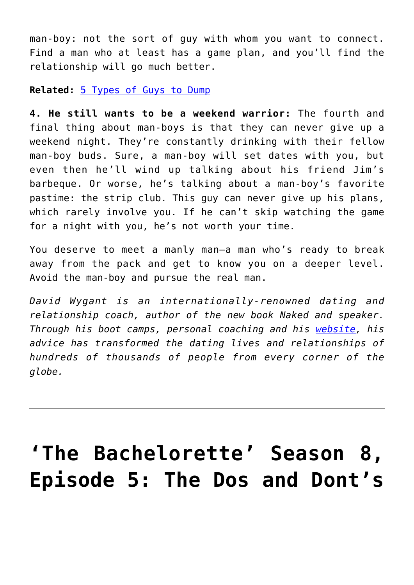man-boy: not the sort of guy with whom you want to connect. Find a man who at least has a game plan, and you'll find the relationship will go much better.

#### **Related:** [5 Types of Guys to Dump](http://cupidspulse.com/spring-cleaning-five-types-guys-dump-breakup-galtime/)

**4. He still wants to be a weekend warrior:** The fourth and final thing about man-boys is that they can never give up a weekend night. They're constantly drinking with their fellow man-boy buds. Sure, a man-boy will set dates with you, but even then he'll wind up talking about his friend Jim's barbeque. Or worse, he's talking about a man-boy's favorite pastime: the strip club. This guy can never give up his plans, which rarely involve you. If he can't skip watching the game for a night with you, he's not worth your time.

You deserve to meet a manly man–a man who's ready to break away from the pack and get to know you on a deeper level. Avoid the man-boy and pursue the real man.

*David Wygant is an internationally-renowned dating and relationship coach, author of the new book Naked and speaker. Through his boot camps, personal coaching and his [website,](http://www.davidwygant.com/) his advice has transformed the dating lives and relationships of hundreds of thousands of people from every corner of the globe.*

# **['The Bachelorette' Season 8,](https://cupidspulse.com/33043/bachelorette-8-emily-maynard-connection-relationships/) [Episode 5: The Dos and Dont's](https://cupidspulse.com/33043/bachelorette-8-emily-maynard-connection-relationships/)**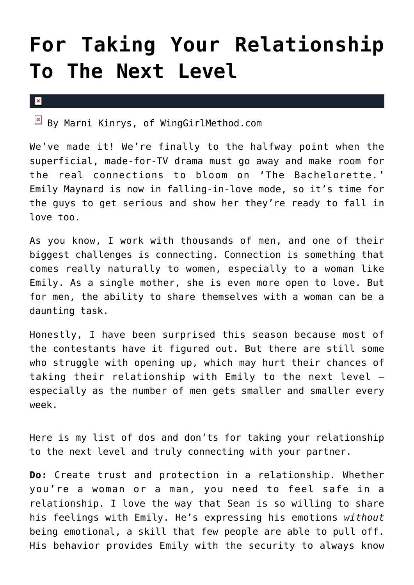# **[For Taking Your Relationship](https://cupidspulse.com/33043/bachelorette-8-emily-maynard-connection-relationships/) [To The Next Level](https://cupidspulse.com/33043/bachelorette-8-emily-maynard-connection-relationships/)**

 $\mathbf x$ 

 $\boxed{\times}$  By Marni Kinrys, of WingGirlMethod.com

We've made it! We're finally to the halfway point when the superficial, made-for-TV drama must go away and make room for the real connections to bloom on 'The Bachelorette.' Emily Maynard is now in falling-in-love mode, so it's time for the guys to get serious and show her they're ready to fall in love too.

As you know, I work with thousands of men, and one of their biggest challenges is connecting. Connection is something that comes really naturally to women, especially to a woman like Emily. As a single mother, she is even more open to love. But for men, the ability to share themselves with a woman can be a daunting task.

Honestly, I have been surprised this season because most of the contestants have it figured out. But there are still some who struggle with opening up, which may hurt their chances of taking their relationship with Emily to the next level – especially as the number of men gets smaller and smaller every week.

Here is my list of dos and don'ts for taking your relationship to the next level and truly connecting with your partner.

**Do:** Create trust and protection in a relationship. Whether you're a woman or a man, you need to feel safe in a relationship. I love the way that Sean is so willing to share his feelings with Emily. He's expressing his emotions *without* being emotional, a skill that few people are able to pull off. His behavior provides Emily with the security to always know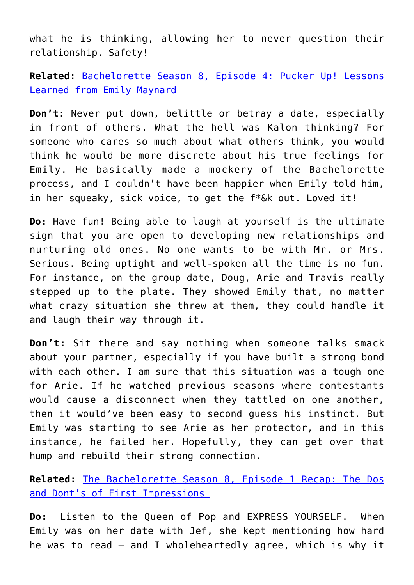what he is thinking, allowing her to never question their relationship. Safety!

**Related:** [Bachelorette Season 8, Episode 4: Pucker Up! Lessons](http://cupidspulse.com/bachelorette-season-8-lessons-learned-emily-maynard/) [Learned from Emily Maynard](http://cupidspulse.com/bachelorette-season-8-lessons-learned-emily-maynard/)

**Don't:** Never put down, belittle or betray a date, especially in front of others. What the hell was Kalon thinking? For someone who cares so much about what others think, you would think he would be more discrete about his true feelings for Emily. He basically made a mockery of the Bachelorette process, and I couldn't have been happier when Emily told him, in her squeaky, sick voice, to get the f\*&k out. Loved it!

**Do:** Have fun! Being able to laugh at yourself is the ultimate sign that you are open to developing new relationships and nurturing old ones. No one wants to be with Mr. or Mrs. Serious. Being uptight and well-spoken all the time is no fun. For instance, on the group date, Doug, Arie and Travis really stepped up to the plate. They showed Emily that, no matter what crazy situation she threw at them, they could handle it and laugh their way through it.

**Don't:** Sit there and say nothing when someone talks smack about your partner, especially if you have built a strong bond with each other. I am sure that this situation was a tough one for Arie. If he watched previous seasons where contestants would cause a disconnect when they tattled on one another, then it would've been easy to second guess his instinct. But Emily was starting to see Arie as her protector, and in this instance, he failed her. Hopefully, they can get over that hump and rebuild their strong connection.

**Related:** [The Bachelorette Season 8, Episode 1 Recap: The Dos](http://cupidspulse.com/the-bachelorette-8-episode-1-recap-the-dos-and-donts-of-first-impressions/) [and Dont's of First Impressions](http://cupidspulse.com/the-bachelorette-8-episode-1-recap-the-dos-and-donts-of-first-impressions/) 

**Do:** Listen to the Queen of Pop and EXPRESS YOURSELF. When Emily was on her date with Jef, she kept mentioning how hard he was to read – and I wholeheartedly agree, which is why it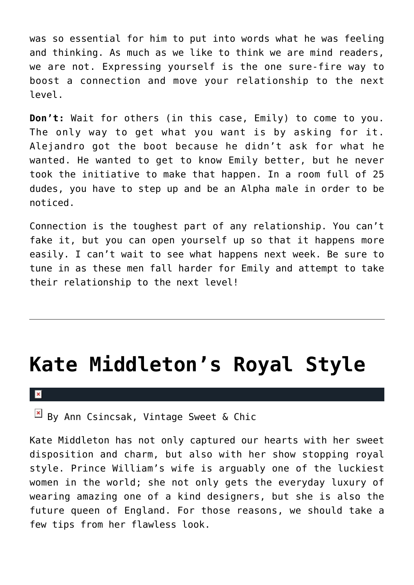was so essential for him to put into words what he was feeling and thinking. As much as we like to think we are mind readers, we are not. Expressing yourself is the one sure-fire way to boost a connection and move your relationship to the next level.

**Don't:** Wait for others (in this case, Emily) to come to you. The only way to get what you want is by asking for it. Alejandro got the boot because he didn't ask for what he wanted. He wanted to get to know Emily better, but he never took the initiative to make that happen. In a room full of 25 dudes, you have to step up and be an Alpha male in order to be noticed.

Connection is the toughest part of any relationship. You can't fake it, but you can open yourself up so that it happens more easily. I can't wait to see what happens next week. Be sure to tune in as these men fall harder for Emily and attempt to take their relationship to the next level!

### **[Kate Middleton's Royal Style](https://cupidspulse.com/32775/kate-middletons-royal-style-get-the-look/)**

 $\mathbf{x}$ 

 $\boxed{\times}$  By Ann Csincsak, Vintage Sweet & Chic

Kate Middleton has not only captured our hearts with her sweet disposition and charm, but also with her show stopping royal style. Prince William's wife is arguably one of the luckiest women in the world; she not only gets the everyday luxury of wearing amazing one of a kind designers, but she is also the future queen of England. For those reasons, we should take a few tips from her flawless look.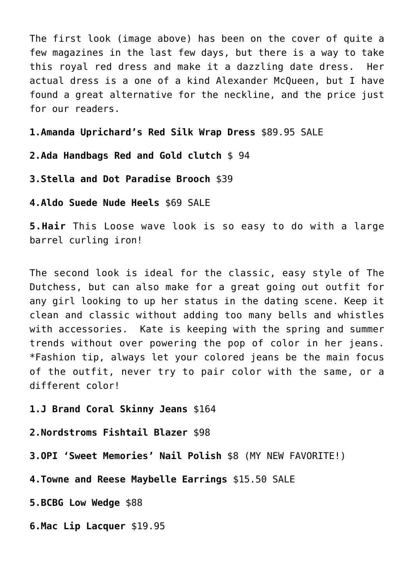The first look (image above) has been on the cover of quite a few magazines in the last few days, but there is a way to take this royal red dress and make it a dazzling date dress. Her actual dress is a one of a kind Alexander McQueen, but I have found a great alternative for the neckline, and the price just for our readers.

**1.Amanda Uprichard's Red Silk Wrap Dress** \$89.95 SALE

**2.Ada Handbags Red and Gold clutch** \$ 94

**3.Stella and Dot Paradise Brooch** \$39

**4.Aldo Suede Nude Heels** \$69 SALE

**5.Hair** This Loose wave look is so easy to do with a large barrel curling iron!

The second look is ideal for the classic, easy style of The Dutchess, but can also make for a great going out outfit for any girl looking to up her status in the dating scene. Keep it clean and classic without adding too many bells and whistles with accessories. Kate is keeping with the spring and summer trends without over powering the pop of color in her jeans. \*Fashion tip, always let your colored jeans be the main focus of the outfit, never try to pair color with the same, or a different color!

#### **1.J Brand Coral Skinny Jeans** \$164

**2.Nordstroms Fishtail Blazer** \$98

**3.OPI 'Sweet Memories' Nail Polish** \$8 (MY NEW FAVORITE!)

**4.Towne and Reese Maybelle Earrings** \$15.50 SALE

**5.BCBG Low Wedge** \$88

**6.Mac Lip Lacquer** \$19.95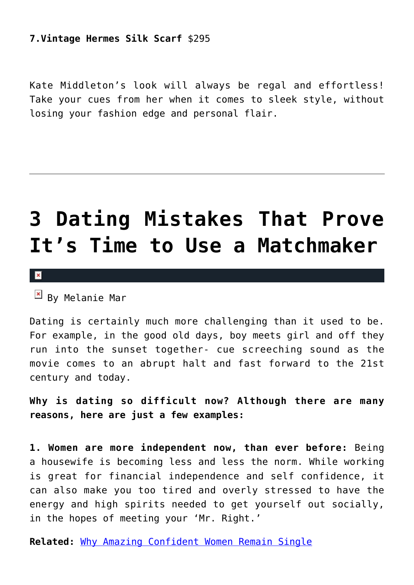### **7.Vintage Hermes Silk Scarf** \$295

Kate Middleton's look will always be regal and effortless! Take your cues from her when it comes to sleek style, without losing your fashion edge and personal flair.

# **[3 Dating Mistakes That Prove](https://cupidspulse.com/32188/melanie-mar-expert-relationships-matchmaker-dating-mistake/) [It's Time to Use a Matchmaker](https://cupidspulse.com/32188/melanie-mar-expert-relationships-matchmaker-dating-mistake/)**

 $\mathbf{x}$ 

 $\overline{B}$  By Melanie Mar

Dating is certainly much more challenging than it used to be. For example, in the good old days, boy meets girl and off they run into the sunset together- cue screeching sound as the movie comes to an abrupt halt and fast forward to the 21st century and today.

**Why is dating so difficult now? Although there are many reasons, here are just a few examples:**

**1. Women are more independent now, than ever before:** Being a housewife is becoming less and less the norm. While working is great for financial independence and self confidence, it can also make you too tired and overly stressed to have the energy and high spirits needed to get yourself out socially, in the hopes of meeting your 'Mr. Right.'

**Related:** [Why Amazing Confident Women Remain Single](http://cupidspulse.com/why-amazing-confident-women-remain-single-amber-soletti-onspeeddating-guest/)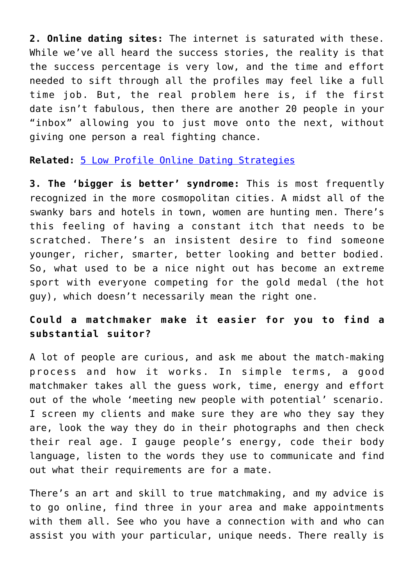**2. Online dating sites:** The internet is saturated with these. While we've all heard the success stories, the reality is that the success percentage is very low, and the time and effort needed to sift through all the profiles may feel like a full time job. But, the real problem here is, if the first date isn't fabulous, then there are another 20 people in your "inbox" allowing you to just move onto the next, without giving one person a real fighting chance.

**Related:** [5 Low Profile Online Dating Strategies](http://cupidspulse.com/low-profile-online-dating-strategies-tips-advice/)

**3. The 'bigger is better' syndrome:** This is most frequently recognized in the more cosmopolitan cities. A midst all of the swanky bars and hotels in town, women are hunting men. There's this feeling of having a constant itch that needs to be scratched. There's an insistent desire to find someone younger, richer, smarter, better looking and better bodied. So, what used to be a nice night out has become an extreme sport with everyone competing for the gold medal (the hot guy), which doesn't necessarily mean the right one.

### **Could a matchmaker make it easier for you to find a substantial suitor?**

A lot of people are curious, and ask me about the match-making process and how it works. In simple terms, a good matchmaker takes all the guess work, time, energy and effort out of the whole 'meeting new people with potential' scenario. I screen my clients and make sure they are who they say they are, look the way they do in their photographs and then check their real age. I gauge people's energy, code their body language, listen to the words they use to communicate and find out what their requirements are for a mate.

There's an art and skill to true matchmaking, and my advice is to go online, find three in your area and make appointments with them all. See who you have a connection with and who can assist you with your particular, unique needs. There really is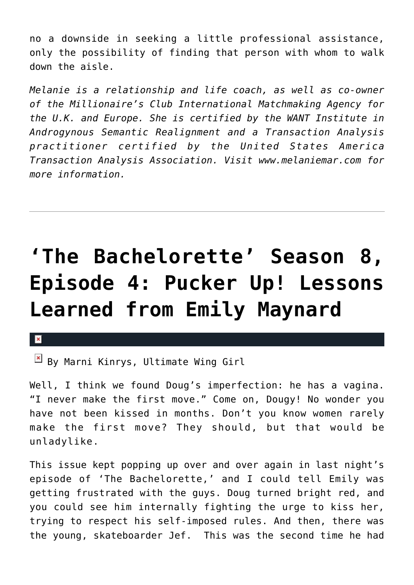no a downside in seeking a little professional assistance, only the possibility of finding that person with whom to walk down the aisle.

*Melanie is a relationship and life coach, as well as co-owner of the Millionaire's Club International Matchmaking Agency for the U.K. and Europe. She is certified by the WANT Institute in Androgynous Semantic Realignment and a Transaction Analysis practitioner certified by the United States America Transaction Analysis Association. Visit www.melaniemar.com for more information.*

# **['The Bachelorette' Season 8,](https://cupidspulse.com/32391/bachelorette-season-8-lessons-learned-emily-maynard/) [Episode 4: Pucker Up! Lessons](https://cupidspulse.com/32391/bachelorette-season-8-lessons-learned-emily-maynard/) [Learned from Emily Maynard](https://cupidspulse.com/32391/bachelorette-season-8-lessons-learned-emily-maynard/)**

#### x

 $\boxed{\times}$  By Marni Kinrys, Ultimate Wing Girl

Well, I think we found Doug's imperfection: he has a vagina. "I never make the first move." Come on, Dougy! No wonder you have not been kissed in months. Don't you know women rarely make the first move? They should, but that would be unladylike.

This issue kept popping up over and over again in last night's episode of 'The Bachelorette,' and I could tell Emily was getting frustrated with the guys. Doug turned bright red, and you could see him internally fighting the urge to kiss her, trying to respect his self-imposed rules. And then, there was the young, skateboarder Jef. This was the second time he had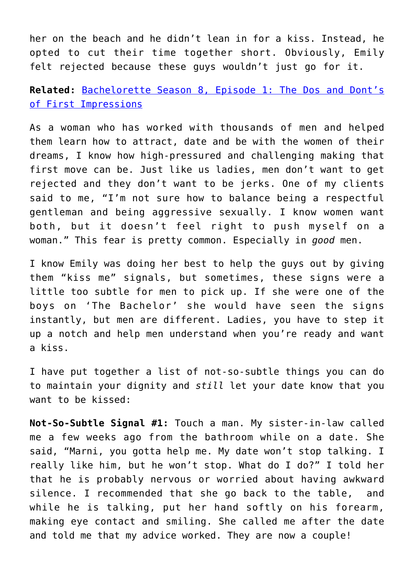her on the beach and he didn't lean in for a kiss. Instead, he opted to cut their time together short. Obviously, Emily felt rejected because these guys wouldn't just go for it.

**Related:** [Bachelorette Season 8, Episode 1: The Dos and Dont's](http://cupidspulse.com/the-bachelorette-8-episode-1-recap-the-dos-and-donts-of-first-impressions/) [of First Impressions](http://cupidspulse.com/the-bachelorette-8-episode-1-recap-the-dos-and-donts-of-first-impressions/)

As a woman who has worked with thousands of men and helped them learn how to attract, date and be with the women of their dreams, I know how high-pressured and challenging making that first move can be. Just like us ladies, men don't want to get rejected and they don't want to be jerks. One of my clients said to me, "I'm not sure how to balance being a respectful gentleman and being aggressive sexually. I know women want both, but it doesn't feel right to push myself on a woman." This fear is pretty common. Especially in *good* men.

I know Emily was doing her best to help the guys out by giving them "kiss me" signals, but sometimes, these signs were a little too subtle for men to pick up. If she were one of the boys on 'The Bachelor' she would have seen the signs instantly, but men are different. Ladies, you have to step it up a notch and help men understand when you're ready and want a kiss.

I have put together a list of not-so-subtle things you can do to maintain your dignity and *still* let your date know that you want to be kissed:

**Not-So-Subtle Signal #1:** Touch a man. My sister-in-law called me a few weeks ago from the bathroom while on a date. She said, "Marni, you gotta help me. My date won't stop talking. I really like him, but he won't stop. What do I do?" I told her that he is probably nervous or worried about having awkward silence. I recommended that she go back to the table, and while he is talking, put her hand softly on his forearm, making eye contact and smiling. She called me after the date and told me that my advice worked. They are now a couple!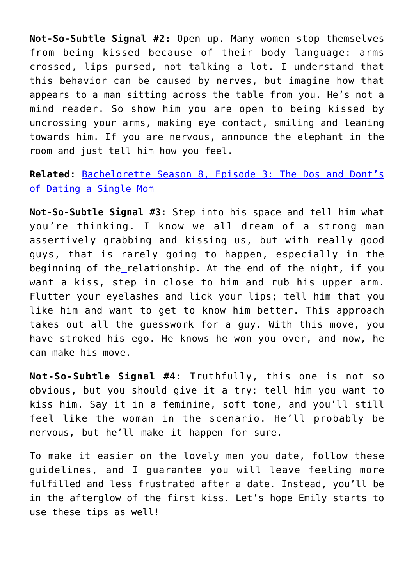**Not-So-Subtle Signal #2:** Open up. Many women stop themselves from being kissed because of their body language: arms crossed, lips pursed, not talking a lot. I understand that this behavior can be caused by nerves, but imagine how that appears to a man sitting across the table from you. He's not a mind reader. So show him you are open to being kissed by uncrossing your arms, making eye contact, smiling and leaning towards him. If you are nervous, announce the elephant in the room and just tell him how you feel.

### **Related:** [Bachelorette Season 8, Episode 3: The Dos and Dont's](http://cupidspulse.com/the-bachelorette-season-8-episode-3-the-dos-and-donts-of-dating-a-single-mom-emily-maynard/) [of Dating a Single Mom](http://cupidspulse.com/the-bachelorette-season-8-episode-3-the-dos-and-donts-of-dating-a-single-mom-emily-maynard/)

**Not-So-Subtle Signal #3:** Step into his space and tell him what you're thinking. I know we all dream of a strong man assertively grabbing and kissing us, but with really good guys, that is rarely going to happen, especially in the beginning of the relationship. At the end of the night, if you want a kiss, step in close to him and rub his upper arm. Flutter your eyelashes and lick your lips; tell him that you like him and want to get to know him better. This approach takes out all the guesswork for a guy. With this move, you have stroked his ego. He knows he won you over, and now, he can make his move.

**Not-So-Subtle Signal #4:** Truthfully, this one is not so obvious, but you should give it a try: tell him you want to kiss him. Say it in a feminine, soft tone, and you'll still feel like the woman in the scenario. He'll probably be nervous, but he'll make it happen for sure.

To make it easier on the lovely men you date, follow these guidelines, and I guarantee you will leave feeling more fulfilled and less frustrated after a date. Instead, you'll be in the afterglow of the first kiss. Let's hope Emily starts to use these tips as well!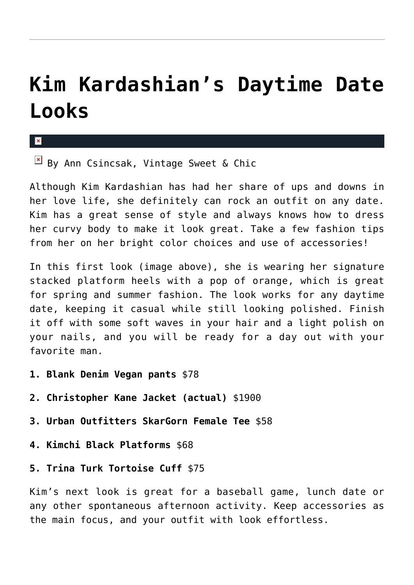# **[Kim Kardashian's Daytime Date](https://cupidspulse.com/32191/kim-kardashians-daytime-date-fashion-ann-csincsak/) [Looks](https://cupidspulse.com/32191/kim-kardashians-daytime-date-fashion-ann-csincsak/)**

#### x

 $\boxed{\times}$  By Ann Csincsak, Vintage Sweet & Chic

Although Kim Kardashian has had her share of ups and downs in her love life, she definitely can rock an outfit on any date. Kim has a great sense of style and always knows how to dress her curvy body to make it look great. Take a few fashion tips from her on her bright color choices and use of accessories!

In this first look (image above), she is wearing her signature stacked platform heels with a pop of orange, which is great for spring and summer fashion. The look works for any daytime date, keeping it casual while still looking polished. Finish it off with some soft waves in your hair and a light polish on your nails, and you will be ready for a day out with your favorite man.

- **1. Blank Denim Vegan pants** \$78
- **2. Christopher Kane Jacket (actual)** \$1900
- **3. Urban Outfitters SkarGorn Female Tee** \$58
- **4. Kimchi Black Platforms** \$68
- **5. Trina Turk Tortoise Cuff** \$75

Kim's next look is great for a baseball game, lunch date or any other spontaneous afternoon activity. Keep accessories as the main focus, and your outfit with look effortless.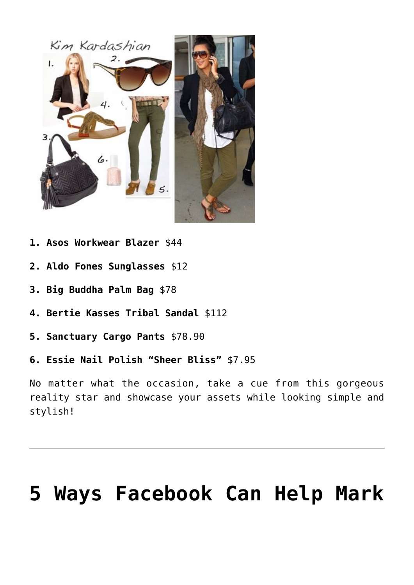

- **1. Asos Workwear Blazer** \$44
- **2. Aldo Fones Sunglasses** \$12
- **3. Big Buddha Palm Bag** \$78
- **4. Bertie Kasses Tribal Sandal** \$112
- **5. Sanctuary Cargo Pants** \$78.90
- **6. Essie Nail Polish "Sheer Bliss"** \$7.95

No matter what the occasion, take a cue from this gorgeous reality star and showcase your assets while looking simple and stylish!

# **[5 Ways Facebook Can Help Mark](https://cupidspulse.com/31942/mark-zuckerberg-marriage-advice-facebook/)**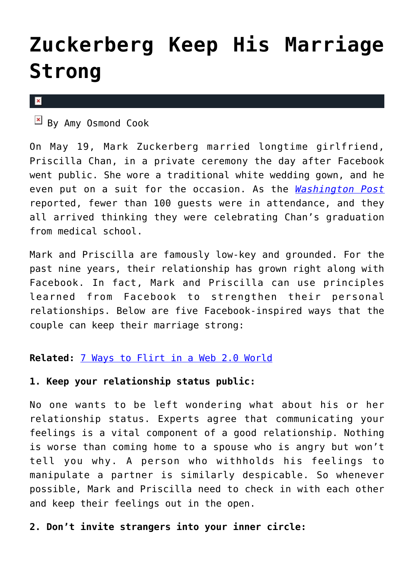# **[Zuckerberg Keep His Marriage](https://cupidspulse.com/31942/mark-zuckerberg-marriage-advice-facebook/) [Strong](https://cupidspulse.com/31942/mark-zuckerberg-marriage-advice-facebook/)**

 $\pmb{\times}$ 

 $\mathbb{F}$  By Amy Osmond Cook

On May 19, Mark Zuckerberg married longtime girlfriend, Priscilla Chan, in a private ceremony the day after Facebook went public. She wore a traditional white wedding gown, and he even put on a suit for the occasion. As the *[Washington Post](http://www.washingtonpost.com/business/economy/mark-zuckerberg-marries-longtime-girlfriend-priscilla-chan-after-ipo-for-facebook/2012/05/22/gIQAXxywhU_story.html)* reported, fewer than 100 guests were in attendance, and they all arrived thinking they were celebrating Chan's graduation from medical school.

Mark and Priscilla are famously low-key and grounded. For the past nine years, their relationship has grown right along with Facebook. In fact, Mark and Priscilla can use principles learned from Facebook to strengthen their personal relationships. Below are five Facebook-inspired ways that the couple can keep their marriage strong:

### **Related:** [7 Ways to Flirt in a Web 2.0 World](http://cupidspulse.com/flirt-online-dating-web-internet-world/)

### **1. Keep your relationship status public:**

No one wants to be left wondering what about his or her relationship status. Experts agree that communicating your feelings is a vital component of a good relationship. Nothing is worse than coming home to a spouse who is angry but won't tell you why. A person who withholds his feelings to manipulate a partner is similarly despicable. So whenever possible, Mark and Priscilla need to check in with each other and keep their feelings out in the open.

### **2. Don't invite strangers into your inner circle:**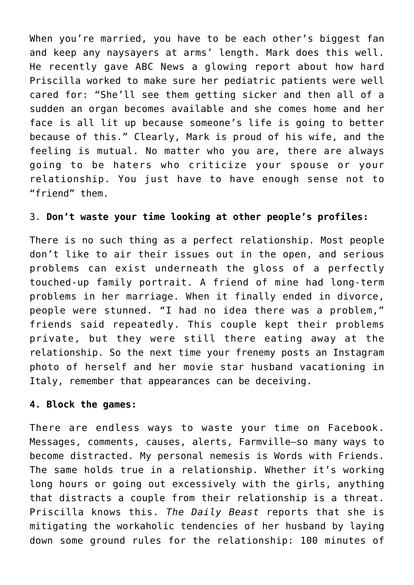When you're married, you have to be each other's biggest fan and keep any naysayers at arms' length. Mark does this well. He recently gave ABC News a glowing report about how hard Priscilla worked to make sure her pediatric patients were well cared for: "She'll see them getting sicker and then all of a sudden an organ becomes available and she comes home and her face is all lit up because someone's life is going to better because of this." Clearly, Mark is proud of his wife, and the feeling is mutual. No matter who you are, there are always going to be haters who criticize your spouse or your relationship. You just have to have enough sense not to "friend" them.

### 3. **Don't waste your time looking at other people's profiles:**

There is no such thing as a perfect relationship. Most people don't like to air their issues out in the open, and serious problems can exist underneath the gloss of a perfectly touched-up family portrait. A friend of mine had long-term problems in her marriage. When it finally ended in divorce, people were stunned. "I had no idea there was a problem," friends said repeatedly. This couple kept their problems private, but they were still there eating away at the relationship. So the next time your frenemy posts an Instagram photo of herself and her movie star husband vacationing in Italy, remember that appearances can be deceiving.

#### **4. Block the games:**

There are endless ways to waste your time on Facebook. Messages, comments, causes, alerts, Farmville–so many ways to become distracted. My personal nemesis is Words with Friends. The same holds true in a relationship. Whether it's working long hours or going out excessively with the girls, anything that distracts a couple from their relationship is a threat. Priscilla knows this. *The Daily Beast* reports that she is mitigating the workaholic tendencies of her husband by laying down some ground rules for the relationship: 100 minutes of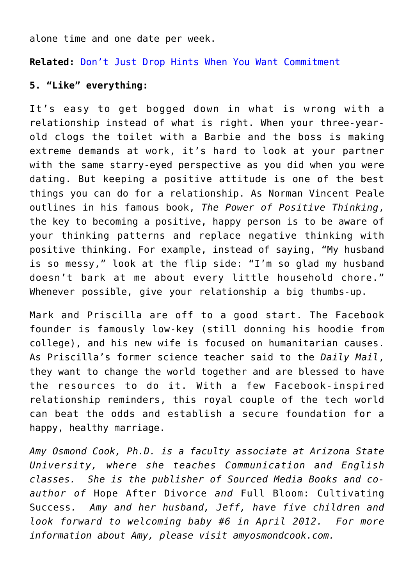alone time and one date per week.

**Related:** [Don't Just Drop Hints When You Want Commitment](http://cupidspulse.com/84448/project-soulmate-relationship-advice-drop-hints-about-commitment/)

### **5. "Like" everything:**

It's easy to get bogged down in what is wrong with a relationship instead of what is right. When your three-yearold clogs the toilet with a Barbie and the boss is making extreme demands at work, it's hard to look at your partner with the same starry-eyed perspective as you did when you were dating. But keeping a positive attitude is one of the best things you can do for a relationship. As Norman Vincent Peale outlines in his famous book, *The Power of Positive Thinking*, the key to becoming a positive, happy person is to be aware of your thinking patterns and replace negative thinking with positive thinking. For example, instead of saying, "My husband is so messy," look at the flip side: "I'm so glad my husband doesn't bark at me about every little household chore." Whenever possible, give your relationship a big thumbs-up.

Mark and Priscilla are off to a good start. The Facebook founder is famously low-key (still donning his hoodie from college), and his new wife is focused on humanitarian causes. As Priscilla's former science teacher said to the *Daily Mail*, they want to change the world together and are blessed to have the resources to do it. With a few Facebook-inspired relationship reminders, this royal couple of the tech world can beat the odds and establish a secure foundation for a happy, healthy marriage.

*Amy Osmond Cook, Ph.D. is a faculty associate at Arizona State University, where she teaches Communication and English classes. She is the publisher of Sourced Media Books and coauthor of* Hope After Divorce *and* Full Bloom: Cultivating Success*. Amy and her husband, Jeff, have five children and look forward to welcoming baby #6 in April 2012. For more information about Amy, please visit amyosmondcook.com.*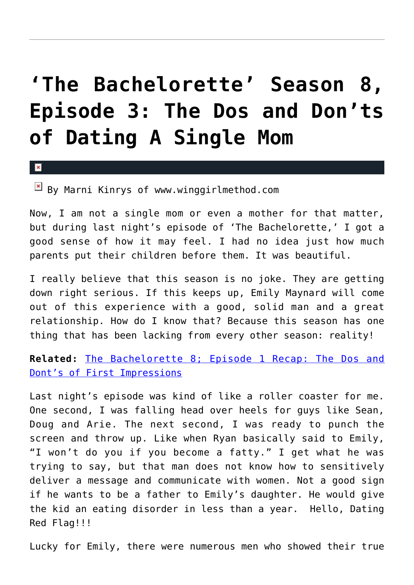# **['The Bachelorette' Season 8,](https://cupidspulse.com/31933/the-bachelorette-season-8-episode-3-the-dos-and-donts-of-dating-a-single-mom-emily-maynard/) [Episode 3: The Dos and Don'ts](https://cupidspulse.com/31933/the-bachelorette-season-8-episode-3-the-dos-and-donts-of-dating-a-single-mom-emily-maynard/) [of Dating A Single Mom](https://cupidspulse.com/31933/the-bachelorette-season-8-episode-3-the-dos-and-donts-of-dating-a-single-mom-emily-maynard/)**

#### $\vert \mathbf{x} \vert$

 $\boxed{\times}$  By Marni Kinrys of www.winggirlmethod.com

Now, I am not a single mom or even a mother for that matter, but during last night's episode of 'The Bachelorette,' I got a good sense of how it may feel. I had no idea just how much parents put their children before them. It was beautiful.

I really believe that this season is no joke. They are getting down right serious. If this keeps up, Emily Maynard will come out of this experience with a good, solid man and a great relationship. How do I know that? Because this season has one thing that has been lacking from every other season: reality!

**Related:** [The Bachelorette 8; Episode 1 Recap: The Dos and](http://cupidspulse.com/the-bachelorette-8-episode-1-recap-the-dos-and-donts-of-first-impressions/) [Dont's of First Impressions](http://cupidspulse.com/the-bachelorette-8-episode-1-recap-the-dos-and-donts-of-first-impressions/)

Last night's episode was kind of like a roller coaster for me. One second, I was falling head over heels for guys like Sean, Doug and Arie. The next second, I was ready to punch the screen and throw up. Like when Ryan basically said to Emily, "I won't do you if you become a fatty." I get what he was trying to say, but that man does not know how to sensitively deliver a message and communicate with women. Not a good sign if he wants to be a father to Emily's daughter. He would give the kid an eating disorder in less than a year. Hello, Dating Red Flag!!!

Lucky for Emily, there were numerous men who showed their true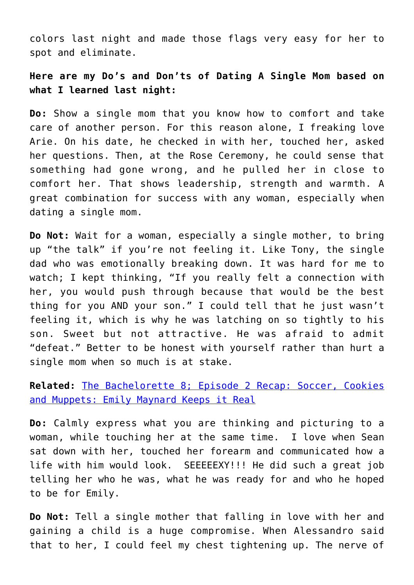colors last night and made those flags very easy for her to spot and eliminate.

### **Here are my Do's and Don'ts of Dating A Single Mom based on what I learned last night:**

**Do:** Show a single mom that you know how to comfort and take care of another person. For this reason alone, I freaking love Arie. On his date, he checked in with her, touched her, asked her questions. Then, at the Rose Ceremony, he could sense that something had gone wrong, and he pulled her in close to comfort her. That shows leadership, strength and warmth. A great combination for success with any woman, especially when dating a single mom.

**Do Not:** Wait for a woman, especially a single mother, to bring up "the talk" if you're not feeling it. Like Tony, the single dad who was emotionally breaking down. It was hard for me to watch; I kept thinking, "If you really felt a connection with her, you would push through because that would be the best thing for you AND your son." I could tell that he just wasn't feeling it, which is why he was latching on so tightly to his son. Sweet but not attractive. He was afraid to admit "defeat." Better to be honest with yourself rather than hurt a single mom when so much is at stake.

**Related:** [The Bachelorette 8; Episode 2 Recap: Soccer, Cookies](http://cupidspulse.com/the-bachelorette-8-episode-1-recap-the-dos-and-donts-of-first-impressions/) [and Muppets: Emily Maynard Keeps it Real](http://cupidspulse.com/the-bachelorette-8-episode-1-recap-the-dos-and-donts-of-first-impressions/)

**Do:** Calmly express what you are thinking and picturing to a woman, while touching her at the same time. I love when Sean sat down with her, touched her forearm and communicated how a life with him would look. SEEEEEXY!!! He did such a great job telling her who he was, what he was ready for and who he hoped to be for Emily.

**Do Not:** Tell a single mother that falling in love with her and gaining a child is a huge compromise. When Alessandro said that to her, I could feel my chest tightening up. The nerve of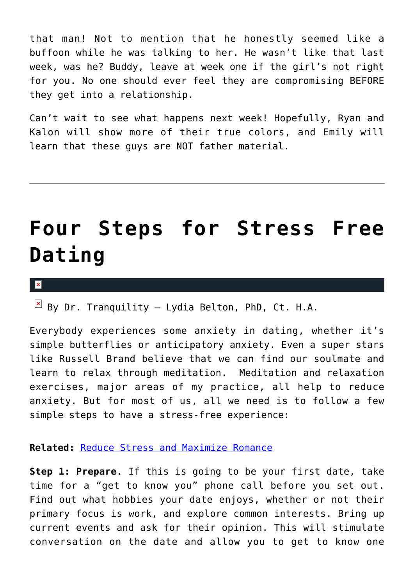that man! Not to mention that he honestly seemed like a buffoon while he was talking to her. He wasn't like that last week, was he? Buddy, leave at week one if the girl's not right for you. No one should ever feel they are compromising BEFORE they get into a relationship.

Can't wait to see what happens next week! Hopefully, Ryan and Kalon will show more of their true colors, and Emily will learn that these guys are NOT father material.

# **[Four Steps for Stress Free](https://cupidspulse.com/31414/dr-lydia-belton-tips-advice-input-dating-relationship-tranquility-ease/) [Dating](https://cupidspulse.com/31414/dr-lydia-belton-tips-advice-input-dating-relationship-tranquility-ease/)**

 $\pmb{\times}$ 

 $\boxed{\times}$  By Dr. Tranquility – Lydia Belton, PhD, Ct. H.A.

Everybody experiences some anxiety in dating, whether it's simple butterflies or anticipatory anxiety. Even a super stars like Russell Brand believe that we can find our soulmate and learn to relax through meditation. Meditation and relaxation exercises, major areas of my practice, all help to reduce anxiety. But for most of us, all we need is to follow a few simple steps to have a stress-free experience:

**Related:** [Reduce Stress and Maximize Romance](http://cupidspulse.com/reduce-stress-maximize-romance-this-winter-nikki-reed-ryan-gosling/)

**Step 1: Prepare.** If this is going to be your first date, take time for a "get to know you" phone call before you set out. Find out what hobbies your date enjoys, whether or not their primary focus is work, and explore common interests. Bring up current events and ask for their opinion. This will stimulate conversation on the date and allow you to get to know one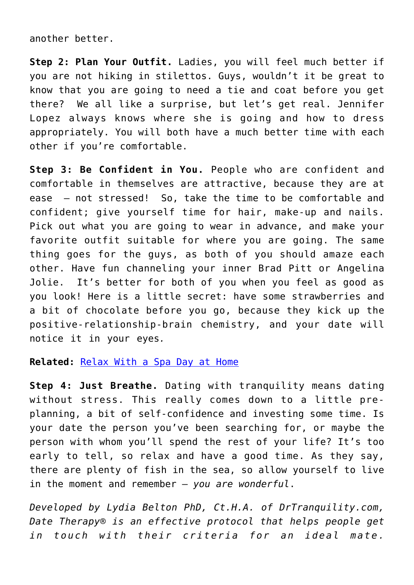another better.

**Step 2: Plan Your Outfit.** Ladies, you will feel much better if you are not hiking in stilettos. Guys, wouldn't it be great to know that you are going to need a tie and coat before you get there? We all like a surprise, but let's get real. Jennifer Lopez always knows where she is going and how to dress appropriately. You will both have a much better time with each other if you're comfortable.

**Step 3: Be Confident in You.** People who are confident and comfortable in themselves are attractive, because they are at ease — not stressed! So, take the time to be comfortable and confident; give yourself time for hair, make-up and nails. Pick out what you are going to wear in advance, and make your favorite outfit suitable for where you are going. The same thing goes for the guys, as both of you should amaze each other. Have fun channeling your inner Brad Pitt or Angelina Jolie. It's better for both of you when you feel as good as you look! Here is a little secret: have some strawberries and a bit of chocolate before you go, because they kick up the positive-relationship-brain chemistry, and your date will notice it in your eyes*.*

#### **Related:** [Relax With a Spa Day at Home](http://cupidspulse.com/weekend-date-idea-relax-with-a-romantic-spa-day-at-home/)

**Step 4: Just Breathe.** Dating with tranquility means dating without stress. This really comes down to a little preplanning, a bit of self-confidence and investing some time. Is your date the person you've been searching for, or maybe the person with whom you'll spend the rest of your life? It's too early to tell, so relax and have a good time. As they say, there are plenty of fish in the sea, so allow yourself to live in the moment and remember — *you are wonderful*.

*Developed by Lydia Belton PhD, Ct.H.A. of DrTranquility.com, Date Therapy® is an effective protocol that helps people get in touch with their criteria for an ideal mate.*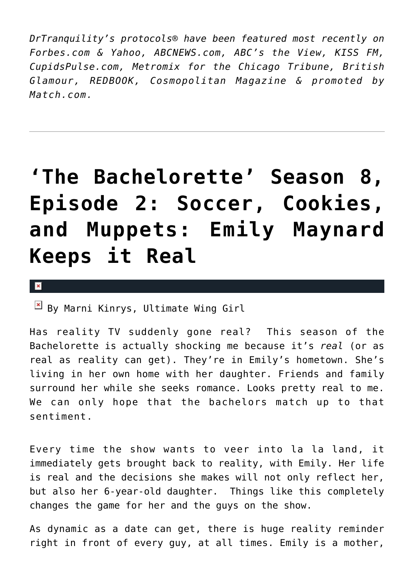*DrTranquility's protocols® have been featured most recently on Forbes.com & Yahoo, ABCNEWS.com, ABC's the View, KISS FM, CupidsPulse.com, Metromix for the Chicago Tribune, British Glamour, REDBOOK, Cosmopolitan Magazine & promoted by Match.com.*

# **['The Bachelorette' Season 8,](https://cupidspulse.com/31540/the-bachelorette-emily-maynard-joe-abc-reality-tv-episode-2-season-8-muppets/) [Episode 2: Soccer, Cookies,](https://cupidspulse.com/31540/the-bachelorette-emily-maynard-joe-abc-reality-tv-episode-2-season-8-muppets/) [and Muppets: Emily Maynard](https://cupidspulse.com/31540/the-bachelorette-emily-maynard-joe-abc-reality-tv-episode-2-season-8-muppets/) [Keeps it Real](https://cupidspulse.com/31540/the-bachelorette-emily-maynard-joe-abc-reality-tv-episode-2-season-8-muppets/)**

#### $\mathbf x$

 $\mathbb{E}$  By Marni Kinrys, Ultimate Wing Girl

Has reality TV suddenly gone real? This season of the Bachelorette is actually shocking me because it's *real* (or as real as reality can get). They're in Emily's hometown. She's living in her own home with her daughter. Friends and family surround her while she seeks romance. Looks pretty real to me. We can only hope that the bachelors match up to that sentiment.

Every time the show wants to veer into la la land, it immediately gets brought back to reality, with Emily. Her life is real and the decisions she makes will not only reflect her, but also her 6-year-old daughter. Things like this completely changes the game for her and the guys on the show.

As dynamic as a date can get, there is huge reality reminder right in front of every guy, at all times. Emily is a mother,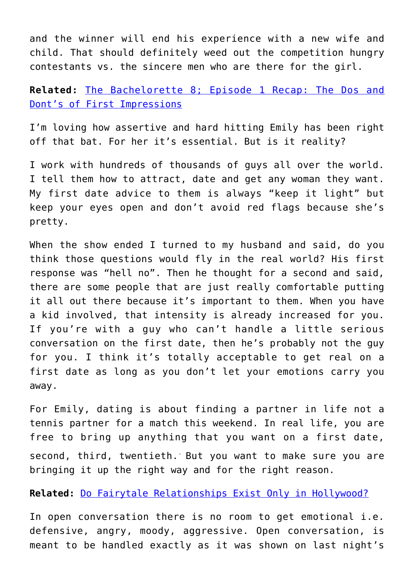and the winner will end his experience with a new wife and child. That should definitely weed out the competition hungry contestants vs. the sincere men who are there for the girl.

### **Related:** [The Bachelorette 8; Episode 1 Recap: The Dos and](http://cupidspulse.com/the-bachelorette-8-episode-1-recap-the-dos-and-donts-of-first-impressions/) [Dont's of First Impressions](http://cupidspulse.com/the-bachelorette-8-episode-1-recap-the-dos-and-donts-of-first-impressions/)

I'm loving how assertive and hard hitting Emily has been right off that bat. For her it's essential. But is it reality?

I work with hundreds of thousands of guys all over the world. I tell them how to attract, date and get any woman they want. My first date advice to them is always "keep it light" but keep your eyes open and don't avoid red flags because she's pretty.

When the show ended I turned to my husband and said, do you think those questions would fly in the real world? His first response was "hell no". Then he thought for a second and said, there are some people that are just really comfortable putting it all out there because it's important to them. When you have a kid involved, that intensity is already increased for you. If you're with a guy who can't handle a little serious conversation on the first date, then he's probably not the guy for you. I think it's totally acceptable to get real on a first date as long as you don't let your emotions carry you away.

For Emily, dating is about finding a partner in life not a tennis partner for a match this weekend. In real life, you are free to bring up anything that you want on a first date, second, third, twentieth. But you want to make sure you are bringing it up the right way and for the right reason.

**Related:** [Do Fairytale Relationships Exist Only in Hollywood?](http://cupidspulse.com/fairytale-relationships-exist-outside-hollywood/)

In open conversation there is no room to get emotional i.e. defensive, angry, moody, aggressive. Open conversation, is meant to be handled exactly as it was shown on last night's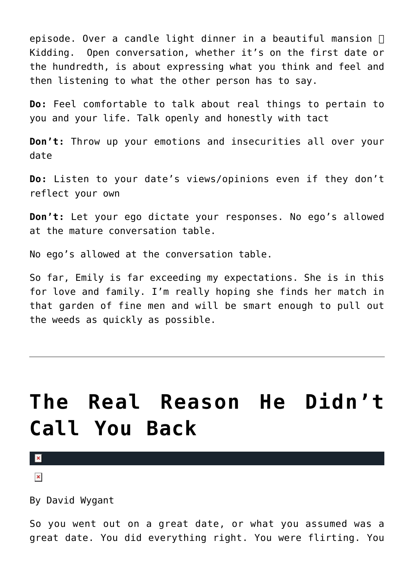episode. Over a candle light dinner in a beautiful mansion  $\prod$ Kidding. Open conversation, whether it's on the first date or the hundredth, is about expressing what you think and feel and then listening to what the other person has to say.

**Do:** Feel comfortable to talk about real things to pertain to you and your life. Talk openly and honestly with tact

**Don't:** Throw up your emotions and insecurities all over your date

**Do:** Listen to your date's views/opinions even if they don't reflect your own

**Don't:** Let your ego dictate your responses. No ego's allowed at the mature conversation table.

No ego's allowed at the conversation table.

So far, Emily is far exceeding my expectations. She is in this for love and family. I'm really hoping she finds her match in that garden of fine men and will be smart enough to pull out the weeds as quickly as possible.

# **[The Real Reason He Didn't](https://cupidspulse.com/30881/david-wygant-reasons-he-didnt-call-back/) [Call You Back](https://cupidspulse.com/30881/david-wygant-reasons-he-didnt-call-back/)**

 $\mathbf{z}$ 

 $\pmb{\times}$ 

By David Wygant

So you went out on a great date, or what you assumed was a great date. You did everything right. You were flirting. You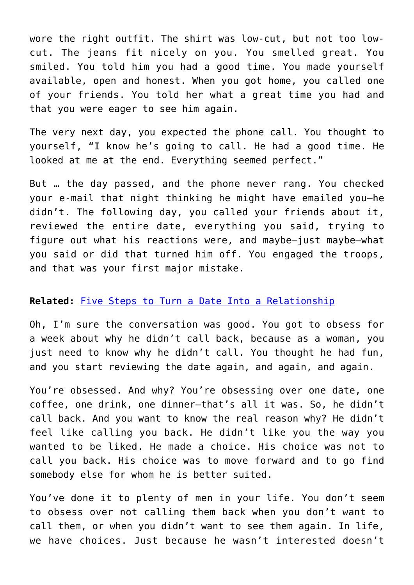wore the right outfit. The shirt was low-cut, but not too lowcut. The jeans fit nicely on you. You smelled great. You smiled. You told him you had a good time. You made yourself available, open and honest. When you got home, you called one of your friends. You told her what a great time you had and that you were eager to see him again.

The very next day, you expected the phone call. You thought to yourself, "I know he's going to call. He had a good time. He looked at me at the end. Everything seemed perfect."

But … the day passed, and the phone never rang. You checked your e-mail that night thinking he might have emailed you–he didn't. The following day, you called your friends about it, reviewed the entire date, everything you said, trying to figure out what his reactions were, and maybe–just maybe–what you said or did that turned him off. You engaged the troops, and that was your first major mistake.

#### **Related:** [Five Steps to Turn a Date Into a Relationship](http://cupidspulse.com/five-steps-turn-date-into-relationship-expert/)

Oh, I'm sure the conversation was good. You got to obsess for a week about why he didn't call back, because as a woman, you just need to know why he didn't call. You thought he had fun, and you start reviewing the date again, and again, and again.

You're obsessed. And why? You're obsessing over one date, one coffee, one drink, one dinner–that's all it was. So, he didn't call back. And you want to know the real reason why? He didn't feel like calling you back. He didn't like you the way you wanted to be liked. He made a choice. His choice was not to call you back. His choice was to move forward and to go find somebody else for whom he is better suited.

You've done it to plenty of men in your life. You don't seem to obsess over not calling them back when you don't want to call them, or when you didn't want to see them again. In life, we have choices. Just because he wasn't interested doesn't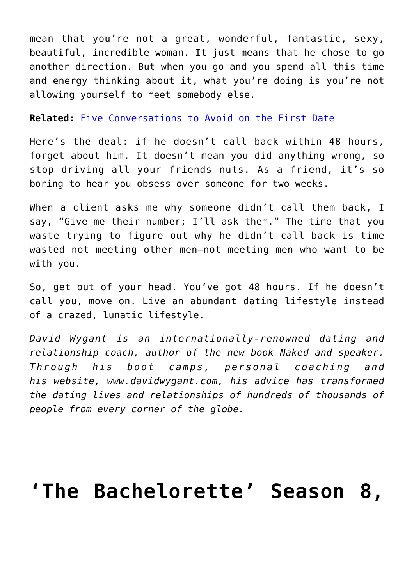mean that you're not a great, wonderful, fantastic, sexy, beautiful, incredible woman. It just means that he chose to go another direction. But when you go and you spend all this time and energy thinking about it, what you're doing is you're not allowing yourself to meet somebody else.

#### **Related:** [Five Conversations to Avoid on the First Date](http://cupidspulse.com/five-conversations-to-avoid-on-first-date/)

Here's the deal: if he doesn't call back within 48 hours, forget about him. It doesn't mean you did anything wrong, so stop driving all your friends nuts. As a friend, it's so boring to hear you obsess over someone for two weeks.

When a client asks me why someone didn't call them back, I say, "Give me their number; I'll ask them." The time that you waste trying to figure out why he didn't call back is time wasted not meeting other men–not meeting men who want to be with you.

So, get out of your head. You've got 48 hours. If he doesn't call you, move on. Live an abundant dating lifestyle instead of a crazed, lunatic lifestyle.

*David Wygant is an internationally-renowned dating and relationship coach, author of the new book Naked and speaker. Through his boot camps, personal coaching and his website, www.davidwygant.com, his advice has transformed the dating lives and relationships of hundreds of thousands of people from every corner of the globe.*

### **['The Bachelorette' Season 8,](https://cupidspulse.com/31230/the-bachelorette-8-episode-1-recap-the-dos-and-donts-of-first-impressions/)**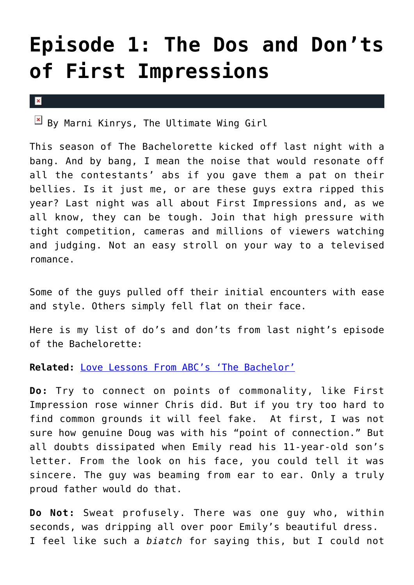# **[Episode 1: The Dos and Don'ts](https://cupidspulse.com/31230/the-bachelorette-8-episode-1-recap-the-dos-and-donts-of-first-impressions/) [of First Impressions](https://cupidspulse.com/31230/the-bachelorette-8-episode-1-recap-the-dos-and-donts-of-first-impressions/)**

 $\pmb{\times}$ 

 $\boxed{\times}$  By Marni Kinrys, The Ultimate Wing Girl

This season of The Bachelorette kicked off last night with a bang. And by bang, I mean the noise that would resonate off all the contestants' abs if you gave them a pat on their bellies. Is it just me, or are these guys extra ripped this year? Last night was all about First Impressions and, as we all know, they can be tough. Join that high pressure with tight competition, cameras and millions of viewers watching and judging. Not an easy stroll on your way to a televised romance.

Some of the guys pulled off their initial encounters with ease and style. Others simply fell flat on their face.

Here is my list of do's and don'ts from last night's episode of the Bachelorette:

**Related:** [Love Lessons From ABC's 'The Bachelor'](http://cupidspulse.com/lessons-from-the-bachelor-the-bachelorette/)

**Do:** Try to connect on points of commonality, like First Impression rose winner Chris did. But if you try too hard to find common grounds it will feel fake. At first, I was not sure how genuine Doug was with his "point of connection." But all doubts dissipated when Emily read his 11-year-old son's letter. From the look on his face, you could tell it was sincere. The guy was beaming from ear to ear. Only a truly proud father would do that.

**Do Not:** Sweat profusely. There was one guy who, within seconds, was dripping all over poor Emily's beautiful dress. I feel like such a *biatch* for saying this, but I could not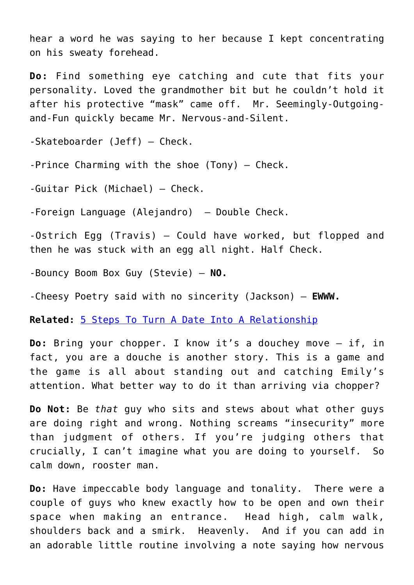hear a word he was saying to her because I kept concentrating on his sweaty forehead.

**Do:** Find something eye catching and cute that fits your personality. Loved the grandmother bit but he couldn't hold it after his protective "mask" came off. Mr. Seemingly-Outgoingand-Fun quickly became Mr. Nervous-and-Silent.

-Skateboarder (Jeff) — Check.

-Prince Charming with the shoe (Tony) – Check.

-Guitar Pick (Michael) — Check.

-Foreign Language (Alejandro) – Double Check.

-Ostrich Egg (Travis) — Could have worked, but flopped and then he was stuck with an egg all night. Half Check.

-Bouncy Boom Box Guy (Stevie) — **NO.**

-Cheesy Poetry said with no sincerity (Jackson) — **EWWW.**

**Related:** [5 Steps To Turn A Date Into A Relationship](http://cupidspulse.com/five-steps-turn-date-into-relationship-expert/)

**Do:** Bring your chopper. I know it's a douchey move – if, in fact, you are a douche is another story. This is a game and the game is all about standing out and catching Emily's attention. What better way to do it than arriving via chopper?

**Do Not:** Be *that* guy who sits and stews about what other guys are doing right and wrong. Nothing screams "insecurity" more than judgment of others. If you're judging others that crucially, I can't imagine what you are doing to yourself. So calm down, rooster man.

**Do:** Have impeccable body language and tonality. There were a couple of guys who knew exactly how to be open and own their space when making an entrance. Head high, calm walk, shoulders back and a smirk. Heavenly. And if you can add in an adorable little routine involving a note saying how nervous